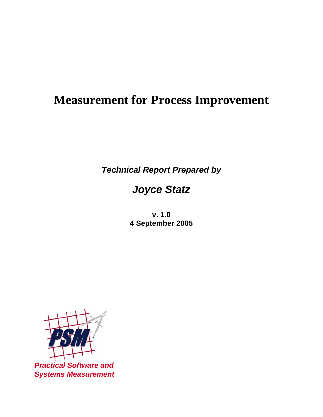# **Measurement for Process Improvement**

*Technical Report Prepared by* 

# *Joyce Statz*

**v. 1.0 4 September 2005** 



*Practical Software and Systems Measurement*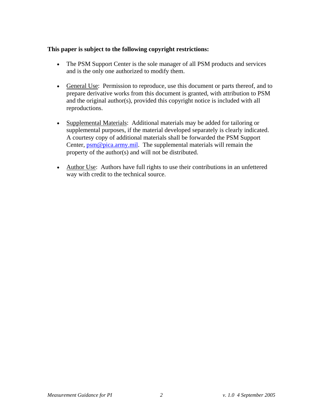#### **This paper is subject to the following copyright restrictions:**

- The PSM Support Center is the sole manager of all PSM products and services and is the only one authorized to modify them.
- General Use: Permission to reproduce, use this document or parts thereof, and to prepare derivative works from this document is granted, with attribution to PSM and the original author(s), provided this copyright notice is included with all reproductions.
- Supplemental Materials: Additional materials may be added for tailoring or supplemental purposes, if the material developed separately is clearly indicated. A courtesy copy of additional materials shall be forwarded the PSM Support Center,  $psm@pica,arrny, mil$ </u>. The supplemental materials will remain the property of the author(s) and will not be distributed.
- Author Use: Authors have full rights to use their contributions in an unfettered way with credit to the technical source.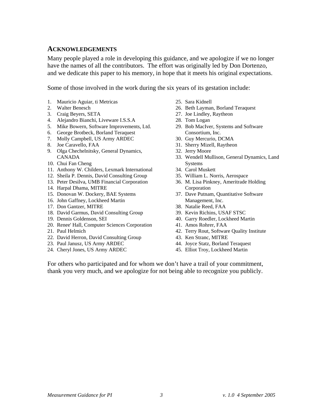#### **ACKNOWLEDGEMENTS**

Many people played a role in developing this guidance, and we apologize if we no longer have the names of all the contributors. The effort was originally led by Don Dortenzo, and we dedicate this paper to his memory, in hope that it meets his original expectations.

Some of those involved in the work during the six years of its gestation include:

- 1. Mauricio Aguiar, ti Metricas
- 2. Walter Benesch
- 3. Craig Beyers, SETA
- 4. Alejandro Bianchi, Liveware I.S.S.A
- 5. Mike Bowern, Software Improvements, Ltd.
- 6. George Brotbeck, Borland Teraquest
- 7. Molly Campbell, US Army ARDEC
- 8. Joe Caravello, FAA
- 9. Olga Chechelnitsky, General Dynamics, CANADA
- 10. Chui Fan Cheng
- 11. Anthony W. Childers, Lexmark International
- 12. Sheila P. Dennis, David Consulting Group
- 13. Peter Desilva, UMB Financial Corporation
- 14. Harpal Dhama, MITRE
- 15. Donovan W. Dockery, BAE Systems
- 16. John Gaffney, Lockheed Martin
- 17. Don Gantzer, MITRE
- 18. David Garmus, David Consulting Group
- 19. Dennis Goldenson, SEI
- 20. Renee' Hall, Computer Sciences Corporation
- 21. Paul Helmich
- 22. David Herron, David Consulting Group
- 23. Paul Janusz, US Army ARDEC
- 24. Cheryl Jones, US Army ARDEC
- 25. Sara Kidnell
- 26. Beth Layman, Borland Teraquest
- 27. Joe Lindley, Raytheon
- 28. Tom Logan
- 29. Bob MacIver, Systems and Software Consortium, Inc.
- 30. Guy Mercurio, DCMA
- 31. Sherry Mizell, Raytheon
- 32. Jerry Moore
- 33. Wendell Mullison, General Dynamics, Land Systems
- 34. Carol Muskett
- 35. William L. Norris, Aerospace
- 36. M. Lisa Pinkney, Ameritrade Holding Corporation
- 37. Dave Putnam, Quantitative Software Management, Inc.
- 38. Natalie Reed, FAA
- 39. Kevin Richins, USAF STSC
- 40. Garry Roedler, Lockheed Martin
- 41. Amos Rohrer, FAA
- 42. Terry Rout, Software Quality Institute
- 43. Ken Stranc, MITRE
- 44. Joyce Statz, Borland Teraquest
- 45. Elliot Troy, Lockheed Martin

For others who participated and for whom we don't have a trail of your commitment, thank you very much, and we apologize for not being able to recognize you publicly.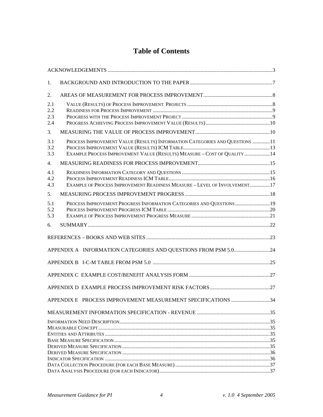# **Table of Contents**

| 1.                       |                                                                                                                                                          |  |
|--------------------------|----------------------------------------------------------------------------------------------------------------------------------------------------------|--|
| 2.                       |                                                                                                                                                          |  |
| 2.1<br>2.2<br>2.3<br>2.4 |                                                                                                                                                          |  |
| 3.                       |                                                                                                                                                          |  |
| 3.1<br>3.2<br>3.3        | PROCESS IMPROVEMENT VALUE (RESULTS) INFORMATION CATEGORIES AND QUESTIONS 11<br>EXAMPLE PROCESS IMPROVEMENT VALUE (RESULTS) MEASURE - COST OF QUALITY  14 |  |
| 4.                       |                                                                                                                                                          |  |
| 4.1<br>4.2<br>4.3        | EXAMPLE OF PROCESS IMPROVEMENT READINESS MEASURE - LEVEL OF INVOLVEMENT17                                                                                |  |
| 5.                       |                                                                                                                                                          |  |
| 5.1<br>5.2<br>5.3        | PROCESS IMPROVEMENT PROGRESS INFORMATION CATEGORIES AND QUESTIONS  19                                                                                    |  |
| 6.                       |                                                                                                                                                          |  |
|                          |                                                                                                                                                          |  |
|                          |                                                                                                                                                          |  |
|                          | APPENDIX A INFORMATION CATEGORIES AND QUESTIONS FROM PSM 5.024                                                                                           |  |
|                          |                                                                                                                                                          |  |
|                          |                                                                                                                                                          |  |
|                          |                                                                                                                                                          |  |
|                          | APPENDIX E PROCESS IMPROVEMENT MEASUREMENT SPECIFICATIONS 34                                                                                             |  |
|                          |                                                                                                                                                          |  |
|                          |                                                                                                                                                          |  |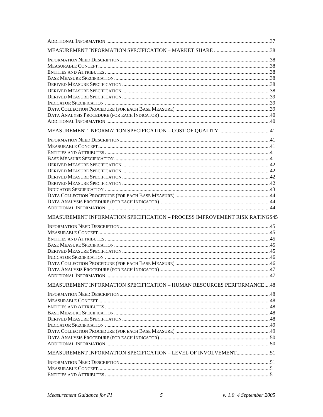| MEASUREMENT INFORMATION SPECIFICATION - PROCESS IMPROVEMENT RISK RATINGS45<br>MEASUREMENT INFORMATION SPECIFICATION - HUMAN RESOURCES PERFORMANCE48 |  |
|-----------------------------------------------------------------------------------------------------------------------------------------------------|--|
|                                                                                                                                                     |  |
|                                                                                                                                                     |  |
|                                                                                                                                                     |  |
|                                                                                                                                                     |  |
|                                                                                                                                                     |  |
|                                                                                                                                                     |  |
|                                                                                                                                                     |  |
|                                                                                                                                                     |  |
|                                                                                                                                                     |  |
|                                                                                                                                                     |  |
|                                                                                                                                                     |  |
|                                                                                                                                                     |  |
|                                                                                                                                                     |  |
|                                                                                                                                                     |  |
|                                                                                                                                                     |  |
|                                                                                                                                                     |  |
|                                                                                                                                                     |  |
|                                                                                                                                                     |  |
|                                                                                                                                                     |  |
|                                                                                                                                                     |  |
|                                                                                                                                                     |  |
|                                                                                                                                                     |  |
|                                                                                                                                                     |  |
|                                                                                                                                                     |  |
|                                                                                                                                                     |  |
|                                                                                                                                                     |  |
|                                                                                                                                                     |  |
|                                                                                                                                                     |  |
|                                                                                                                                                     |  |
|                                                                                                                                                     |  |
|                                                                                                                                                     |  |
|                                                                                                                                                     |  |
|                                                                                                                                                     |  |
|                                                                                                                                                     |  |
|                                                                                                                                                     |  |
|                                                                                                                                                     |  |
|                                                                                                                                                     |  |
|                                                                                                                                                     |  |
|                                                                                                                                                     |  |
|                                                                                                                                                     |  |
|                                                                                                                                                     |  |
|                                                                                                                                                     |  |
|                                                                                                                                                     |  |
|                                                                                                                                                     |  |
|                                                                                                                                                     |  |
| MEASUREMENT INFORMATION SPECIFICATION - LEVEL OF INVOLVEMENT51                                                                                      |  |
|                                                                                                                                                     |  |
|                                                                                                                                                     |  |
|                                                                                                                                                     |  |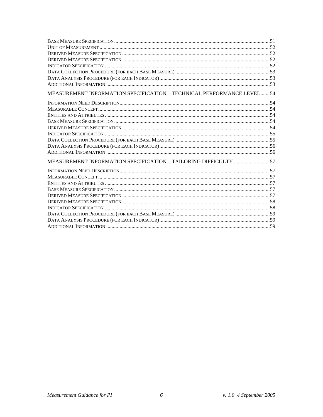| MEASUREMENT INFORMATION SPECIFICATION - TECHNICAL PERFORMANCE LEVEL54 |  |
|-----------------------------------------------------------------------|--|
|                                                                       |  |
|                                                                       |  |
|                                                                       |  |
|                                                                       |  |
|                                                                       |  |
|                                                                       |  |
|                                                                       |  |
|                                                                       |  |
|                                                                       |  |
| MEASUREMENT INFORMATION SPECIFICATION - TAILORING DIFFICULTY 57       |  |
|                                                                       |  |
|                                                                       |  |
|                                                                       |  |
|                                                                       |  |
|                                                                       |  |
|                                                                       |  |
|                                                                       |  |
|                                                                       |  |
|                                                                       |  |
|                                                                       |  |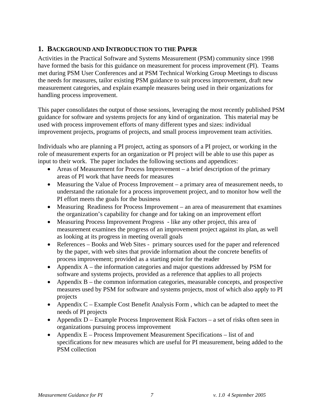## **1. BACKGROUND AND INTRODUCTION TO THE PAPER**

Activities in the Practical Software and Systems Measurement (PSM) community since 1998 have formed the basis for this guidance on measurement for process improvement (PI). Teams met during PSM User Conferences and at PSM Technical Working Group Meetings to discuss the needs for measures, tailor existing PSM guidance to suit process improvement, draft new measurement categories, and explain example measures being used in their organizations for handling process improvement.

This paper consolidates the output of those sessions, leveraging the most recently published PSM guidance for software and systems projects for any kind of organization. This material may be used with process improvement efforts of many different types and sizes: individual improvement projects, programs of projects, and small process improvement team activities.

Individuals who are planning a PI project, acting as sponsors of a PI project, or working in the role of measurement experts for an organization or PI project will be able to use this paper as input to their work. The paper includes the following sections and appendices:

- Areas of Measurement for Process Improvement a brief description of the primary areas of PI work that have needs for measures
- Measuring the Value of Process Improvement a primary area of measurement needs, to understand the rationale for a process improvement project, and to monitor how well the PI effort meets the goals for the business
- Measuring Readiness for Process Improvement an area of measurement that examines the organization's capability for change and for taking on an improvement effort
- Measuring Process Improvement Progress like any other project, this area of measurement examines the progress of an improvement project against its plan, as well as looking at its progress in meeting overall goals
- References Books and Web Sites primary sources used for the paper and referenced by the paper, with web sites that provide information about the concrete benefits of process improvement; provided as a starting point for the reader
- Appendix A the information categories and major questions addressed by PSM for software and systems projects, provided as a reference that applies to all projects
- Appendix B the common information categories, measurable concepts, and prospective measures used by PSM for software and systems projects, most of which also apply to PI projects
- Appendix C Example Cost Benefit Analysis Form, which can be adapted to meet the needs of PI projects
- Appendix D Example Process Improvement Risk Factors a set of risks often seen in organizations pursuing process improvement
- Appendix E Process Improvement Measurement Specifications list of and specifications for new measures which are useful for PI measurement, being added to the PSM collection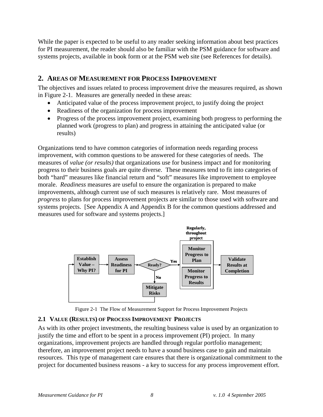While the paper is expected to be useful to any reader seeking information about best practices for PI measurement, the reader should also be familiar with the PSM guidance for software and systems projects, available in book form or at the PSM web site (see References for details).

#### **2. AREAS OF MEASUREMENT FOR PROCESS IMPROVEMENT**

The objectives and issues related to process improvement drive the measures required, as shown in Figure 2-1. Measures are generally needed in these areas:

- Anticipated value of the process improvement project, to justify doing the project
- Readiness of the organization for process improvement
- Progress of the process improvement project, examining both progress to performing the planned work (progress to plan) and progress in attaining the anticipated value (or results)

Organizations tend to have common categories of information needs regarding process improvement, with common questions to be answered for these categories of needs. The measures of *value (or results)* that organizations use for business impact and for monitoring progress to their business goals are quite diverse. These measures tend to fit into categories of both "hard" measures like financial return and "soft" measures like improvement to employee morale. *Readiness* measures are useful to ensure the organization is prepared to make improvements, although current use of such measures is relatively rare. Most measures of *progress* to plans for process improvement projects are similar to those used with software and systems projects. [See Appendix A and Appendix B for the common questions addressed and measures used for software and systems projects.]



Figure 2-1 The Flow of Measurement Support for Process Improvement Projects

#### **2.1 VALUE (RESULTS) OF PROCESS IMPROVEMENT PROJECTS**

As with its other project investments, the resulting business value is used by an organization to justify the time and effort to be spent in a process improvement (PI) project. In many organizations, improvement projects are handled through regular portfolio management; therefore, an improvement project needs to have a sound business case to gain and maintain resources. This type of management care ensures that there is organizational commitment to the project for documented business reasons - a key to success for any process improvement effort.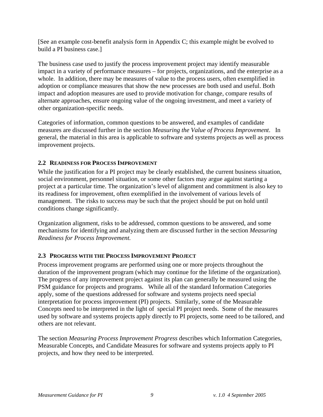[See an example cost-benefit analysis form in Appendix C; this example might be evolved to build a PI business case.]

The business case used to justify the process improvement project may identify measurable impact in a variety of performance measures – for projects, organizations, and the enterprise as a whole. In addition, there may be measures of value to the process users, often exemplified in adoption or compliance measures that show the new processes are both used and useful. Both impact and adoption measures are used to provide motivation for change, compare results of alternate approaches, ensure ongoing value of the ongoing investment, and meet a variety of other organization-specific needs.

Categories of information, common questions to be answered, and examples of candidate measures are discussed further in the section *Measuring the Value of Process Improvement*. In general, the material in this area is applicable to software and systems projects as well as process improvement projects.

#### **2.2 READINESS FOR PROCESS IMPROVEMENT**

While the justification for a PI project may be clearly established, the current business situation, social environment, personnel situation, or some other factors may argue against starting a project at a particular time. The organization's level of alignment and commitment is also key to its readiness for improvement, often exemplified in the involvement of various levels of management. The risks to success may be such that the project should be put on hold until conditions change significantly.

Organization alignment, risks to be addressed, common questions to be answered, and some mechanisms for identifying and analyzing them are discussed further in the section *Measuring Readiness for Process Improvement.* 

#### **2.3 PROGRESS WITH THE PROCESS IMPROVEMENT PROJECT**

Process improvement programs are performed using one or more projects throughout the duration of the improvement program (which may continue for the lifetime of the organization). The progress of any improvement project against its plan can generally be measured using the PSM guidance for projects and programs. While all of the standard Information Categories apply, some of the questions addressed for software and systems projects need special interpretation for process improvement (PI) projects. Similarly, some of the Measurable Concepts need to be interpreted in the light of special PI project needs. Some of the measures used by software and systems projects apply directly to PI projects, some need to be tailored, and others are not relevant.

The section *Measuring Process Improvement Progress* describes which Information Categories, Measurable Concepts, and Candidate Measures for software and systems projects apply to PI projects, and how they need to be interpreted.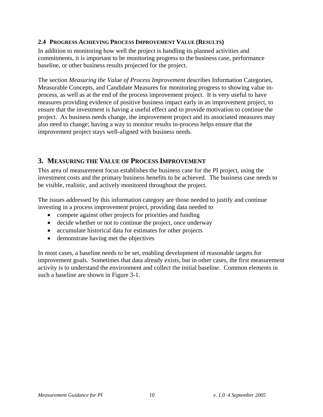#### **2.4 PROGRESS ACHIEVING PROCESS IMPROVEMENT VALUE (RESULTS)**

In addition to monitoring how well the project is handling its planned activities and commitments, it is important to be monitoring progress to the business case, performance baseline, or other business results projected for the project.

The section *Measuring the Value of Process Improvement* describes Information Categories, Measurable Concepts, and Candidate Measures for monitoring progress to showing value inprocess, as well as at the end of the process improvement project. It is very useful to have measures providing evidence of positive business impact early in an improvement project, to ensure that the investment is having a useful effect and to provide motivation to continue the project. As business needs change, the improvement project and its associated measures may also need to change; having a way to monitor results in-process helps ensure that the improvement project stays well-aligned with business needs.

### **3. MEASURING THE VALUE OF PROCESS IMPROVEMENT**

This area of measurement focus establishes the business case for the PI project, using the investment costs and the primary business benefits to be achieved. The business case needs to be visible, realistic, and actively monitored throughout the project.

The issues addressed by this information category are those needed to justify and continue investing in a process improvement project, providing data needed to

- compete against other projects for priorities and funding
- decide whether or not to continue the project, once underway
- accumulate historical data for estimates for other projects
- demonstrate having met the objectives

In most cases, a baseline needs to be set, enabling development of reasonable targets for improvement goals. Sometimes that data already exists, but in other cases, the first measurement activity is to understand the environment and collect the initial baseline. Common elements in such a baseline are shown in Figure 3-1.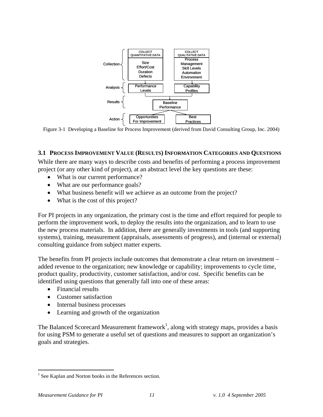

Figure 3-1 Developing a Baseline for Process Improvement (derived from David Consulting Group, Inc. 2004)

#### **3.1 PROCESS IMPROVEMENT VALUE (RESULTS) INFORMATION CATEGORIES AND QUESTIONS**

While there are many ways to describe costs and benefits of performing a process improvement project (or any other kind of project), at an abstract level the key questions are these:

- What is our current performance?
- What are our performance goals?
- What business benefit will we achieve as an outcome from the project?
- What is the cost of this project?

For PI projects in any organization, the primary cost is the time and effort required for people to perform the improvement work, to deploy the results into the organization, and to learn to use the new process materials. In addition, there are generally investments in tools (and supporting systems), training, measurement (appraisals, assessments of progress), and (internal or external) consulting guidance from subject matter experts.

The benefits from PI projects include outcomes that demonstrate a clear return on investment – added revenue to the organization; new knowledge or capability; improvements to cycle time, product quality, productivity, customer satisfaction, and/or cost. Specific benefits can be identified using questions that generally fall into one of these areas:

- Financial results
- Customer satisfaction
- Internal business processes
- Learning and growth of the organization

The Balanced Scorecard Measurement framework<sup>1</sup>, along with strategy maps, provides a basis for using PSM to generate a useful set of questions and measures to support an organization's goals and strategies.

 $\overline{a}$ 

<sup>&</sup>lt;sup>1</sup> See Kaplan and Norton books in the References section.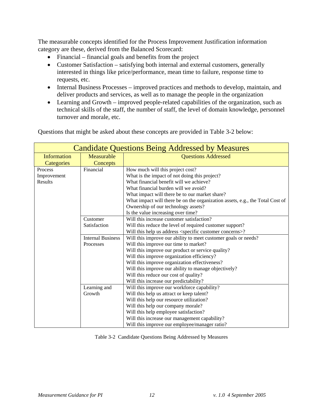The measurable concepts identified for the Process Improvement Justification information category are these, derived from the Balanced Scorecard:

- Financial financial goals and benefits from the project
- Customer Satisfaction satisfying both internal and external customers, generally interested in things like price/performance, mean time to failure, response time to requests, etc.
- Internal Business Processes improved practices and methods to develop, maintain, and deliver products and services, as well as to manage the people in the organization
- Learning and Growth improved people-related capabilities of the organization, such as technical skills of the staff, the number of staff, the level of domain knowledge, personnel turnover and morale, etc.

| Questions that might be asked about these concepts are provided in Table 3-2 below: |  |
|-------------------------------------------------------------------------------------|--|
|                                                                                     |  |

| <b>Candidate Questions Being Addressed by Measures</b> |                          |                                                                               |  |
|--------------------------------------------------------|--------------------------|-------------------------------------------------------------------------------|--|
| <b>Information</b>                                     | Measurable               | <b>Questions Addressed</b>                                                    |  |
| Categories                                             | Concepts                 |                                                                               |  |
| Process                                                | Financial                | How much will this project cost?                                              |  |
| Improvement                                            |                          | What is the impact of not doing this project?                                 |  |
| Results                                                |                          | What financial benefit will we achieve?                                       |  |
|                                                        |                          | What financial burden will we avoid?                                          |  |
|                                                        |                          | What impact will there be to our market share?                                |  |
|                                                        |                          | What impact will there be on the organization assets, e.g., the Total Cost of |  |
|                                                        |                          | Ownership of our technology assets?                                           |  |
|                                                        |                          | Is the value increasing over time?                                            |  |
|                                                        | Customer                 | Will this increase customer satisfaction?                                     |  |
|                                                        | Satisfaction             | Will this reduce the level of required customer support?                      |  |
|                                                        |                          | Will this help us address <specific concerns="" customer="">?</specific>      |  |
|                                                        | <b>Internal Business</b> | Will this improve our ability to meet customer goals or needs?                |  |
|                                                        | Processes                | Will this improve our time to market?                                         |  |
|                                                        |                          | Will this improve our product or service quality?                             |  |
|                                                        |                          | Will this improve organization efficiency?                                    |  |
|                                                        |                          | Will this improve organization effectiveness?                                 |  |
|                                                        |                          | Will this improve our ability to manage objectively?                          |  |
|                                                        |                          | Will this reduce our cost of quality?                                         |  |
|                                                        |                          | Will this increase our predictability?                                        |  |
|                                                        | Learning and             | Will this improve our workforce capability?                                   |  |
|                                                        | Growth                   | Will this help us attract or keep talent?                                     |  |
|                                                        |                          | Will this help our resource utilization?                                      |  |
|                                                        |                          | Will this help our company morale?                                            |  |
|                                                        |                          | Will this help employee satisfaction?                                         |  |
|                                                        |                          | Will this increase our management capability?                                 |  |
|                                                        |                          | Will this improve our employee/manager ratio?                                 |  |

Table 3-2 Candidate Questions Being Addressed by Measures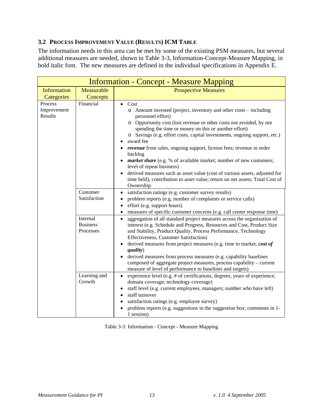#### **3.2 PROCESS IMPROVEMENT VALUE (RESULTS) ICM TABLE**

The information needs in this area can be met by some of the existing PSM measures, but several additional measures are needed, shown in Table 3-3, Information-Concept-Measure Mapping, in bold italic font. The new measures are defined in the individual specifications in Appendix E.

| <b>Information - Concept - Measure Mapping</b> |                                          |                                                                                                                                                                                                                                                                                                                                                                                                                                                                                                                                                                                                                                                                                                                    |  |  |
|------------------------------------------------|------------------------------------------|--------------------------------------------------------------------------------------------------------------------------------------------------------------------------------------------------------------------------------------------------------------------------------------------------------------------------------------------------------------------------------------------------------------------------------------------------------------------------------------------------------------------------------------------------------------------------------------------------------------------------------------------------------------------------------------------------------------------|--|--|
| <b>Information</b>                             | Measurable                               | <b>Prospective Measures</b>                                                                                                                                                                                                                                                                                                                                                                                                                                                                                                                                                                                                                                                                                        |  |  |
| Categories                                     | Concepts                                 |                                                                                                                                                                                                                                                                                                                                                                                                                                                                                                                                                                                                                                                                                                                    |  |  |
| Process<br>Improvement<br>Results              | Financial                                | Cost<br>$\bullet$<br>o Amount invested (project, inventory and other costs – including<br>personnel effort)<br>o Opportunity cost (lost revenue or other costs not avoided, by not<br>spending the time or money on this or another effort)<br>o Savings (e.g. effort costs, capital investments, ongoing support, etc.)<br>award fee<br>$\bullet$<br>revenue from sales, ongoing support, license fees; revenue in order<br>backlog<br>market share (e.g. % of available market; number of new customers;<br>level of repeat business)<br>derived measures such as asset value (cost of various assets, adjusted for<br>time held), contribution to asset value; return on net assets; Total Cost of<br>Ownership |  |  |
|                                                | Customer<br>Satisfaction                 | satisfaction ratings (e.g. customer survey results)<br>$\bullet$<br>problem reports (e.g. number of complaints or service calls)<br>$\bullet$<br>effort (e.g. support hours)<br>$\bullet$<br>measures of specific customer concerns (e.g. call center response time)<br>$\bullet$                                                                                                                                                                                                                                                                                                                                                                                                                                  |  |  |
|                                                | Internal<br><b>Business</b><br>Processes | aggregation of all standard project measures across the organization of<br>$\bullet$<br>interest (e.g. Schedule and Progress, Resources and Cost, Product Size<br>and Stability, Product Quality, Process Performance, Technology<br>Effectiveness, Customer Satisfaction)<br>derived measures from project measures (e.g. time to market, cost of<br>quality)<br>derived measures from process measures (e.g. capability baselines<br>composed of aggregate project measures, process capability - current<br>measure of level of performance to baselines and targets)                                                                                                                                           |  |  |
|                                                | Learning and<br>Growth                   | experience level (e.g. # of certifications, degrees, years of experience;<br>domain coverage; technology coverage)<br>staff level (e.g. current employees, managers; number who have left)<br>$\bullet$<br>staff turnover<br>$\bullet$<br>satisfaction ratings (e.g. employee survey)<br>$\bullet$<br>problem reports (e.g. suggestions in the suggestion box; comments in 1-<br>1 session)                                                                                                                                                                                                                                                                                                                        |  |  |

Table 3-3 Information - Concept - Measure Mapping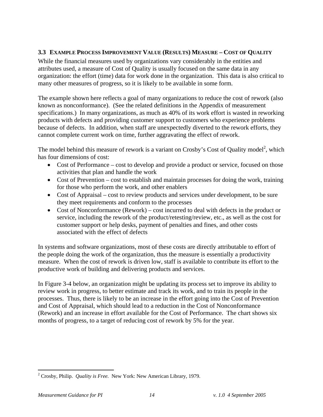#### **3.3 EXAMPLE PROCESS IMPROVEMENT VALUE (RESULTS) MEASURE – COST OF QUALITY**

While the financial measures used by organizations vary considerably in the entities and attributes used, a measure of Cost of Quality is usually focused on the same data in any organization: the effort (time) data for work done in the organization. This data is also critical to many other measures of progress, so it is likely to be available in some form.

The example shown here reflects a goal of many organizations to reduce the cost of rework (also known as nonconformance). (See the related definitions in the Appendix of measurement specifications.) In many organizations, as much as 40% of its work effort is wasted in reworking products with defects and providing customer support to customers who experience problems because of defects. In addition, when staff are unexpectedly diverted to the rework efforts, they cannot complete current work on time, further aggravating the effect of rework.

The model behind this measure of rework is a variant on Crosby's Cost of Quality model<sup>2</sup>, which has four dimensions of cost:

- Cost of Performance cost to develop and provide a product or service, focused on those activities that plan and handle the work
- Cost of Prevention cost to establish and maintain processes for doing the work, training for those who perform the work, and other enablers
- Cost of Appraisal cost to review products and services under development, to be sure they meet requirements and conform to the processes
- Cost of Nonconformance (Rework) cost incurred to deal with defects in the product or service, including the rework of the product/retesting/review, etc., as well as the cost for customer support or help desks, payment of penalties and fines, and other costs associated with the effect of defects

In systems and software organizations, most of these costs are directly attributable to effort of the people doing the work of the organization, thus the measure is essentially a productivity measure. When the cost of rework is driven low, staff is available to contribute its effort to the productive work of building and delivering products and services.

In Figure 3-4 below, an organization might be updating its process set to improve its ability to review work in progress, to better estimate and track its work, and to train its people in the processes. Thus, there is likely to be an increase in the effort going into the Cost of Prevention and Cost of Appraisal, which should lead to a reduction in the Cost of Nonconformance (Rework) and an increase in effort available for the Cost of Performance. The chart shows six months of progress, to a target of reducing cost of rework by 5% for the year.

1

<sup>2</sup> Crosby, Philip. *Quality is Free.* New York: New American Library, 1979.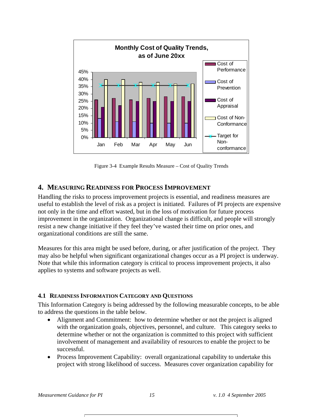

Figure 3-4 Example Results Measure – Cost of Quality Trends

#### **4. MEASURING READINESS FOR PROCESS IMPROVEMENT**

Handling the risks to process improvement projects is essential, and readiness measures are useful to establish the level of risk as a project is initiated. Failures of PI projects are expensive not only in the time and effort wasted, but in the loss of motivation for future process improvement in the organization. Organizational change is difficult, and people will strongly resist a new change initiative if they feel they've wasted their time on prior ones, and organizational conditions are still the same.

Measures for this area might be used before, during, or after justification of the project. They may also be helpful when significant organizational changes occur as a PI project is underway. Note that while this information category is critical to process improvement projects, it also applies to systems and software projects as well.

#### **4.1 READINESS INFORMATION CATEGORY AND QUESTIONS**

This Information Category is being addressed by the following measurable concepts, to be able to address the questions in the table below.

- Alignment and Commitment: how to determine whether or not the project is aligned with the organization goals, objectives, personnel, and culture. This category seeks to determine whether or not the organization is committed to this project with sufficient involvement of management and availability of resources to enable the project to be successful.
- Process Improvement Capability: overall organizational capability to undertake this project with strong likelihood of success. Measures cover organization capability for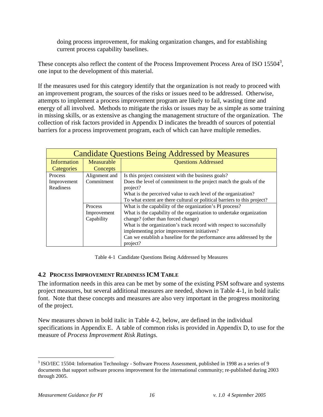doing process improvement, for making organization changes, and for establishing current process capability baselines.

These concepts also reflect the content of the Process Improvement Process Area of ISO  $15504^3$ , one input to the development of this material.

If the measures used for this category identify that the organization is not ready to proceed with an improvement program, the sources of the risks or issues need to be addressed. Otherwise, attempts to implement a process improvement program are likely to fail, wasting time and energy of all involved. Methods to mitigate the risks or issues may be as simple as some training in missing skills, or as extensive as changing the management structure of the organization. The collection of risk factors provided in Appendix D indicates the breadth of sources of potential barriers for a process improvement program, each of which can have multiple remedies.

| <b>Candidate Questions Being Addressed by Measures</b> |                                          |                                                                          |  |  |
|--------------------------------------------------------|------------------------------------------|--------------------------------------------------------------------------|--|--|
| Information                                            | <b>Questions Addressed</b><br>Measurable |                                                                          |  |  |
| Categories                                             | Concepts                                 |                                                                          |  |  |
| <b>Process</b>                                         | Alignment and                            | Is this project consistent with the business goals?                      |  |  |
| Improvement                                            | Commitment                               | Does the level of commitment to the project match the goals of the       |  |  |
| <b>Readiness</b>                                       |                                          | project?                                                                 |  |  |
|                                                        |                                          | What is the perceived value to each level of the organization?           |  |  |
|                                                        |                                          | To what extent are there cultural or political barriers to this project? |  |  |
|                                                        | <b>Process</b>                           | What is the capability of the organization's PI process?                 |  |  |
|                                                        | Improvement                              | What is the capability of the organization to undertake organization     |  |  |
|                                                        | Capability                               | change? (other than forced change)                                       |  |  |
|                                                        |                                          | What is the organization's track record with respect to successfully     |  |  |
|                                                        |                                          | implementing prior improvement initiatives?                              |  |  |
|                                                        |                                          | Can we establish a baseline for the performance area addressed by the    |  |  |
|                                                        |                                          | project?                                                                 |  |  |

Table 4-1 Candidate Questions Being Addressed by Measures

#### **4.2 PROCESS IMPROVEMENT READINESS ICM TABLE**

The information needs in this area can be met by some of the existing PSM software and systems project measures, but several additional measures are needed, shown in Table 4-1, in bold italic font. Note that these concepts and measures are also very important in the progress monitoring of the project.

New measures shown in bold italic in Table 4-2, below, are defined in the individual specifications in Appendix E. A table of common risks is provided in Appendix D, to use for the measure of *Process Improvement Risk Ratings.* 

1

<sup>&</sup>lt;sup>3</sup> ISO/IEC 15504: Information Technology - Software Process Assessment, published in 1998 as a series of 9 documents that support software process improvement for the international community; re-published during 2003 through 2005.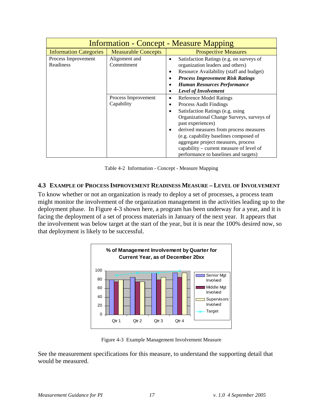| <b>Information - Concept - Measure Mapping</b> |                            |                                               |  |
|------------------------------------------------|----------------------------|-----------------------------------------------|--|
| <b>Information Categories</b>                  | <b>Measurable Concepts</b> | <b>Prospective Measures</b>                   |  |
| Process Improvement                            | Alignment and              | Satisfaction Ratings (e.g. on surveys of<br>٠ |  |
| <b>Readiness</b>                               | Commitment                 | organization leaders and others)              |  |
|                                                |                            | Resource Availability (staff and budget)<br>٠ |  |
|                                                |                            | <b>Process Improvement Risk Ratings</b>       |  |
|                                                |                            | <b>Human Resources Performance</b>            |  |
|                                                |                            | <b>Level of Involvement</b>                   |  |
|                                                | Process Improvement        | <b>Reference Model Ratings</b><br>٠           |  |
|                                                | Capability                 | Process Audit Findings<br>٠                   |  |
|                                                |                            | Satisfaction Ratings (e.g. using<br>$\bullet$ |  |
|                                                |                            | Organizational Change Surveys, surveys of     |  |
|                                                |                            | past experiences)                             |  |
|                                                |                            | derived measures from process measures        |  |
|                                                |                            | (e.g. capability baselines composed of        |  |
|                                                |                            | aggregate project measures, process           |  |
|                                                |                            | capability – current measure of level of      |  |
|                                                |                            | performance to baselines and targets)         |  |

Table 4-2 Information - Concept - Measure Mapping

#### **4.3 EXAMPLE OF PROCESS IMPROVEMENT READINESS MEASURE – LEVEL OF INVOLVEMENT**

To know whether or not an organization is ready to deploy a set of processes, a process team might monitor the involvement of the organization management in the activities leading up to the deployment phase. In Figure 4-3 shown here, a program has been underway for a year, and it is facing the deployment of a set of process materials in January of the next year. It appears that the involvement was below target at the start of the year, but it is near the 100% desired now, so that deployment is likely to be successful.



Figure 4-3 Example Management Involvement Measure

See the measurement specifications for this measure, to understand the supporting detail that would be measured.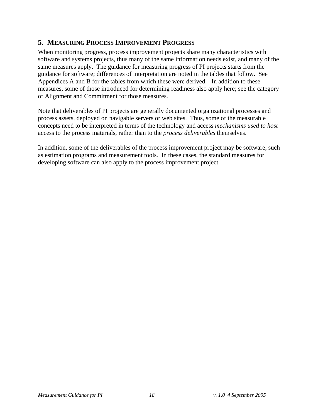## **5. MEASURING PROCESS IMPROVEMENT PROGRESS**

When monitoring progress, process improvement projects share many characteristics with software and systems projects, thus many of the same information needs exist, and many of the same measures apply. The guidance for measuring progress of PI projects starts from the guidance for software; differences of interpretation are noted in the tables that follow. See Appendices A and B for the tables from which these were derived. In addition to these measures, some of those introduced for determining readiness also apply here; see the category of Alignment and Commitment for those measures.

Note that deliverables of PI projects are generally documented organizational processes and process assets, deployed on navigable servers or web sites. Thus, some of the measurable concepts need to be interpreted in terms of the technology and access *mechanisms used to host* access to the process materials, rather than to the *process deliverables* themselves.

In addition, some of the deliverables of the process improvement project may be software, such as estimation programs and measurement tools. In these cases, the standard measures for developing software can also apply to the process improvement project.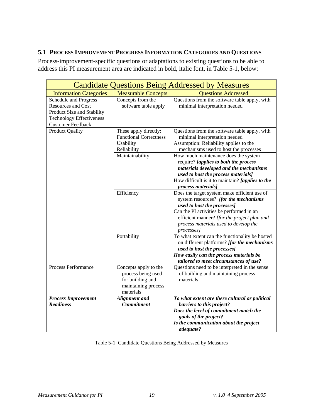#### **5.1 PROCESS IMPROVEMENT PROGRESS INFORMATION CATEGORIES AND QUESTIONS**

Process-improvement-specific questions or adaptations to existing questions to be able to address this PI measurement area are indicated in bold, italic font, in Table 5-1, below:

| <b>Candidate Questions Being Addressed by Measures</b>                                                                                          |                                                                                                     |                                                                                                                                                                                                                                                                        |  |
|-------------------------------------------------------------------------------------------------------------------------------------------------|-----------------------------------------------------------------------------------------------------|------------------------------------------------------------------------------------------------------------------------------------------------------------------------------------------------------------------------------------------------------------------------|--|
| <b>Information Categories</b>                                                                                                                   | <b>Questions Addressed</b><br><b>Measurable Concepts</b>                                            |                                                                                                                                                                                                                                                                        |  |
| Schedule and Progress<br><b>Resources and Cost</b><br>Product Size and Stability<br><b>Technology Effectiveness</b><br><b>Customer Feedback</b> | Concepts from the<br>software table apply                                                           | Questions from the software table apply, with<br>minimal interpretation needed                                                                                                                                                                                         |  |
| <b>Product Quality</b>                                                                                                                          | These apply directly:<br><b>Functional Correctness</b><br>Usability<br>Reliability                  | Questions from the software table apply, with<br>minimal interpretation needed<br>Assumption: Reliability applies to the<br>mechanisms used to host the processes                                                                                                      |  |
|                                                                                                                                                 | Maintainability                                                                                     | How much maintenance does the system<br>require? [applies to both the process<br>materials developed and the mechanisms<br>used to host the process materials]<br>How difficult is it to maintain? [applies to the<br>process materials]                               |  |
|                                                                                                                                                 | Efficiency                                                                                          | Does the target system make efficient use of<br>system resources? [for the mechanisms<br>used to host the processes]<br>Can the PI activities be performed in an<br>efficient manner? [for the project plan and<br>process materials used to develop the<br>processes] |  |
|                                                                                                                                                 | Portability                                                                                         | To what extent can the functionality be hosted<br>on different platforms? [for the mechanisms<br>used to host the processes]<br>How easily can the process materials be<br>tailored to meet circumstances of use?                                                      |  |
| Process Performance                                                                                                                             | Concepts apply to the<br>process being used<br>for building and<br>maintaining process<br>materials | Questions need to be interpreted in the sense<br>of building and maintaining process<br>materials                                                                                                                                                                      |  |
| <b>Process Improvement</b><br><b>Readiness</b>                                                                                                  | <b>Alignment</b> and<br><b>Commitment</b>                                                           | To what extent are there cultural or political<br>barriers to this project?<br>Does the level of commitment match the<br>goals of the project?<br>Is the communication about the project<br>adequate?                                                                  |  |

|  | Table 5-1 Candidate Questions Being Addressed by Measures |  |
|--|-----------------------------------------------------------|--|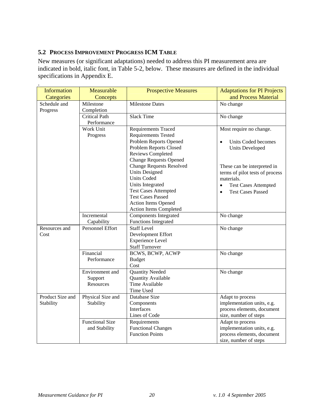#### **5.2 PROCESS IMPROVEMENT PROGRESS ICM TABLE**

New measures (or significant adaptations) needed to address this PI measurement area are indicated in bold, italic font, in Table 5-2, below. These measures are defined in the individual specifications in Appendix E.

| <b>Information</b>        | Measurable              | <b>Prospective Measures</b>     | <b>Adaptations for PI Projects</b>       |
|---------------------------|-------------------------|---------------------------------|------------------------------------------|
| Categories                | Concepts                |                                 | and Process Material                     |
| Schedule and<br>Milestone |                         | <b>Milestone Dates</b>          | No change                                |
| Progress                  | Completion              |                                 |                                          |
|                           | <b>Critical Path</b>    | <b>Slack Time</b>               | No change                                |
|                           | Performance             |                                 |                                          |
|                           | Work Unit               | <b>Requirements Traced</b>      | Most require no change.                  |
|                           | Progress                | <b>Requirements Tested</b>      |                                          |
|                           |                         | Problem Reports Opened          | Units Coded becomes                      |
|                           |                         | Problem Reports Closed          | <b>Units Developed</b>                   |
|                           |                         | <b>Reviews Completed</b>        |                                          |
|                           |                         | <b>Change Requests Opened</b>   |                                          |
|                           |                         | <b>Change Requests Resolved</b> | These can be interpreted in              |
|                           |                         | <b>Units Designed</b>           | terms of pilot tests of process          |
|                           |                         | <b>Units Coded</b>              | materials.                               |
|                           |                         | Units Integrated                | <b>Test Cases Attempted</b><br>$\bullet$ |
|                           |                         | <b>Test Cases Attempted</b>     | <b>Test Cases Passed</b><br>$\bullet$    |
|                           |                         | <b>Test Cases Passed</b>        |                                          |
|                           |                         | <b>Action Items Opened</b>      |                                          |
|                           |                         | Action Items Completed          |                                          |
|                           | Incremental             | <b>Components Integrated</b>    | No change                                |
|                           | Capability              | <b>Functions Integrated</b>     |                                          |
| Resources and             | <b>Personnel Effort</b> | <b>Staff Level</b>              | No change                                |
| Cost                      |                         | Development Effort              |                                          |
|                           |                         | <b>Experience Level</b>         |                                          |
|                           |                         | <b>Staff Turnover</b>           |                                          |
|                           | Financial               | <b>BCWS, BCWP, ACWP</b>         | No change                                |
|                           | Performance             | <b>Budget</b>                   |                                          |
|                           |                         | Cost                            |                                          |
|                           | Environment and         | <b>Quantity Needed</b>          | No change                                |
|                           | Support                 | <b>Quantity Available</b>       |                                          |
|                           | Resources               | <b>Time Available</b>           |                                          |
|                           |                         | Time Used                       |                                          |
| Product Size and          | Physical Size and       | Database Size                   | Adapt to process                         |
| Stability                 | Stability               | Components                      | implementation units, e.g.               |
|                           |                         | <b>Interfaces</b>               | process elements, document               |
|                           |                         | Lines of Code                   | size, number of steps                    |
|                           | <b>Functional Size</b>  | Requirements                    | Adapt to process                         |
|                           | and Stability           | <b>Functional Changes</b>       | implementation units, e.g.               |
|                           |                         | <b>Function Points</b>          | process elements, document               |
|                           |                         |                                 | size, number of steps                    |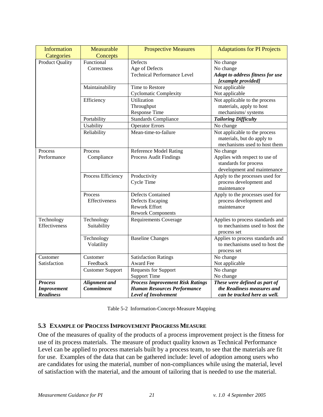| <b>Information</b>     | Measurable              | <b>Prospective Measures</b>             | <b>Adaptations for PI Projects</b> |
|------------------------|-------------------------|-----------------------------------------|------------------------------------|
| Categories             | Concepts                |                                         |                                    |
| <b>Product Quality</b> | Functional              | Defects                                 | No change                          |
|                        | Correctness             | Age of Defects                          | No change                          |
|                        |                         | <b>Technical Performance Level</b>      | Adapt to address fitness for use   |
|                        |                         |                                         | [example provided]                 |
|                        | Maintainability         | Time to Restore                         | Not applicable                     |
|                        |                         | <b>Cyclomatic Complexity</b>            | Not applicable                     |
|                        | Efficiency              | Utilization                             | Not applicable to the process      |
|                        |                         | Throughput                              | materials, apply to host           |
|                        |                         | Response Time                           | mechanisms/systems                 |
|                        | Portability             | <b>Standards Compliance</b>             | <b>Tailoring Difficulty</b>        |
|                        | Usability               | <b>Operator Errors</b>                  | No change                          |
|                        | Reliability             | Mean-time-to-failure                    | Not applicable to the process      |
|                        |                         |                                         | materials, but do apply to         |
|                        |                         |                                         | mechanisms used to host them       |
| Process                | Process                 | <b>Reference Model Rating</b>           | No change                          |
| Performance            | Compliance              | Process Audit Findings                  | Applies with respect to use of     |
|                        |                         |                                         | standards for process              |
|                        |                         |                                         | development and maintenance        |
|                        | Process Efficiency      | Productivity                            | Apply to the processes used for    |
|                        |                         | <b>Cycle Time</b>                       | process development and            |
|                        |                         |                                         | maintenance                        |
|                        | Process                 | <b>Defects Contained</b>                | Apply to the processes used for    |
|                        | Effectiveness           | <b>Defects Escaping</b>                 | process development and            |
|                        |                         | <b>Rework Effort</b>                    | maintenance                        |
|                        |                         | <b>Rework Components</b>                |                                    |
| Technology             | Technology              | <b>Requirements Coverage</b>            | Applies to process standards and   |
| Effectiveness          | Suitability             |                                         | to mechanisms used to host the     |
|                        |                         |                                         | process set                        |
|                        | Technology              | <b>Baseline Changes</b>                 | Applies to process standards and   |
|                        | Volatility              |                                         | to mechanisms used to host the     |
|                        |                         |                                         | process set                        |
| Customer               | Customer                | <b>Satisfaction Ratings</b>             | No change                          |
| Satisfaction           | Feedback                | Award Fee                               | Not applicable                     |
|                        | <b>Customer Support</b> | <b>Requests for Support</b>             | No change                          |
|                        |                         | <b>Support Time</b>                     | No change                          |
| <b>Process</b>         | <b>Alignment</b> and    | <b>Process Improvement Risk Ratings</b> | These were defined as part of      |
| <b>Improvement</b>     | <b>Commitment</b>       | <b>Human Resources Performance</b>      | the Readiness measures and         |
| <b>Readiness</b>       |                         | Level of Involvement                    | can be tracked here as well.       |

Table 5-2 Information-Concept-Measure Mapping

#### **5.3 EXAMPLE OF PROCESS IMPROVEMENT PROGRESS MEASURE**

One of the measures of quality of the products of a process improvement project is the fitness for use of its process materials. The measure of product quality known as Technical Performance Level can be applied to process materials built by a process team, to see that the materials are fit for use. Examples of the data that can be gathered include: level of adoption among users who are candidates for using the material, number of non-compliances while using the material, level of satisfaction with the material, and the amount of tailoring that is needed to use the material.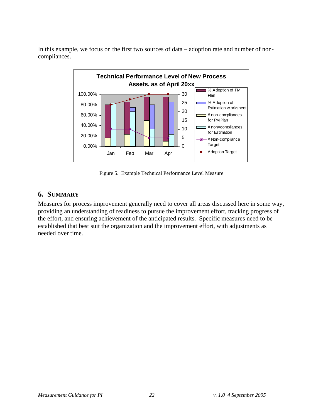In this example, we focus on the first two sources of data – adoption rate and number of noncompliances.



Figure 5. Example Technical Performance Level Measure

#### **6. SUMMARY**

Measures for process improvement generally need to cover all areas discussed here in some way, providing an understanding of readiness to pursue the improvement effort, tracking progress of the effort, and ensuring achievement of the anticipated results. Specific measures need to be established that best suit the organization and the improvement effort, with adjustments as needed over time.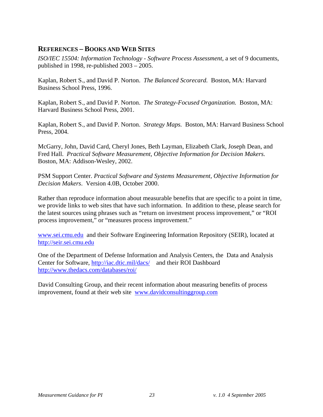## **REFERENCES – BOOKS AND WEB SITES**

*ISO/IEC 15504: Information Technology - Software Process Assessment*, a set of 9 documents, published in 1998, re-published 2003 – 2005.

Kaplan, Robert S., and David P. Norton. *The Balanced Scorecard.* Boston, MA: Harvard Business School Press, 1996.

Kaplan, Robert S., and David P. Norton. *The Strategy-Focused Organization.* Boston, MA: Harvard Business School Press, 2001.

Kaplan, Robert S., and David P. Norton. *Strategy Maps.* Boston, MA: Harvard Business School Press, 2004.

McGarry, John, David Card, Cheryl Jones, Beth Layman, Elizabeth Clark, Joseph Dean, and Fred Hall. *Practical Software Measurement, Objective Information for Decision Makers.* Boston, MA: Addison-Wesley, 2002.

PSM Support Center. *Practical Software and Systems Measurement, Objective Information for Decision Makers*. Version 4.0B, October 2000.

Rather than reproduce information about measurable benefits that are specific to a point in time, we provide links to web sites that have such information. In addition to these, please search for the latest sources using phrases such as "return on investment process improvement," or "ROI process improvement," or "measures process improvement."

www.sei.cmu.edu and their Software Engineering Information Repository (SEIR), located at http://seir.sei.cmu.edu

One of the Department of Defense Information and Analysis Centers, the Data and Analysis Center for Software, http://iac.dtic.mil/dacs/ and their ROI Dashboard http://www.thedacs.com/databases/roi/

David Consulting Group, and their recent information about measuring benefits of process improvement, found at their web site www.davidconsultinggroup.com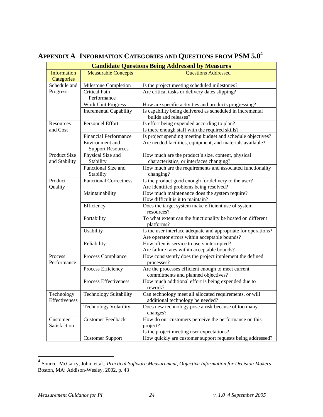|                                      | <b>Candidate Questions Being Addressed by Measures</b> |                                                                                             |  |  |
|--------------------------------------|--------------------------------------------------------|---------------------------------------------------------------------------------------------|--|--|
| <b>Information</b>                   | <b>Measurable Concepts</b>                             | <b>Questions Addressed</b>                                                                  |  |  |
| Categories                           |                                                        |                                                                                             |  |  |
| Schedule and                         | Milestone Completion                                   | Is the project meeting scheduled milestones?                                                |  |  |
| Progress                             | <b>Critical Path</b>                                   | Are critical tasks or delivery dates slipping?                                              |  |  |
|                                      | Performance                                            |                                                                                             |  |  |
|                                      | <b>Work Unit Progress</b>                              | How are specific activities and products progressing?                                       |  |  |
|                                      | <b>Incremental Capability</b>                          | Is capability being delivered as scheduled in incremental<br>builds and releases?           |  |  |
| Resources                            | Personnel Effort                                       | Is effort being expended according to plan?                                                 |  |  |
| and Cost                             |                                                        | Is there enough staff with the required skills?                                             |  |  |
|                                      | <b>Financial Performance</b>                           | Is project spending meeting budget and schedule objectives?                                 |  |  |
|                                      | Environment and<br><b>Support Resources</b>            | Are needed facilities, equipment, and materials available?                                  |  |  |
| <b>Product Size</b>                  | Physical Size and                                      | How much are the product's size, content, physical                                          |  |  |
| and Stability                        | Stability                                              | characteristics, or interfaces changing?                                                    |  |  |
|                                      | Functional Size and                                    | How much are the requirements and associated functionality                                  |  |  |
|                                      | Stability                                              | changing?                                                                                   |  |  |
| Product                              | <b>Functional Correctness</b>                          | Is the product good enough for delivery to the user?                                        |  |  |
| Quality                              |                                                        | Are identified problems being resolved?                                                     |  |  |
|                                      | Maintainability                                        | How much maintenance does the system require?                                               |  |  |
|                                      |                                                        | How difficult is it to maintain?                                                            |  |  |
|                                      | Efficiency                                             | Does the target system make efficient use of system<br>resources?                           |  |  |
|                                      | Portability                                            | To what extent can the functionality be hosted on different<br>platforms?                   |  |  |
|                                      | Usability                                              | Is the user interface adequate and appropriate for operations?                              |  |  |
|                                      |                                                        | Are operator errors within acceptable bounds?                                               |  |  |
|                                      | Reliability                                            | How often is service to users interrupted?                                                  |  |  |
|                                      |                                                        | Are failure rates within acceptable bounds?                                                 |  |  |
| Process<br>Performance               | Process Compliance                                     | How consistently does the project implement the defined<br>processes?                       |  |  |
|                                      | Process Efficiency                                     | Are the processes efficient enough to meet current<br>commitments and planned objectives?   |  |  |
|                                      | Process Effectiveness                                  | How much additional effort is being expended due to<br>rework?                              |  |  |
| Technology<br>Effectiveness          | <b>Technology Suitability</b>                          | Can technology meet all allocated requirements, or will<br>additional technology be needed? |  |  |
|                                      | <b>Technology Volatility</b>                           | Does new technology pose a risk because of too many<br>changes?                             |  |  |
| <b>Customer Feedback</b><br>Customer |                                                        | How do our customers perceive the performance on this                                       |  |  |
| Satisfaction                         |                                                        | project?                                                                                    |  |  |
|                                      |                                                        | Is the project meeting user expectations?                                                   |  |  |
|                                      | <b>Customer Support</b>                                | How quickly are customer support requests being addressed?                                  |  |  |

# **APPENDIX A INFORMATION CATEGORIES AND QUESTIONS FROM PSM 5.0<sup>4</sup>**

 $\overline{a}$ 

<sup>4</sup> Source: McGarry, John, et.al., *Practical Software Measurement, Objective Information for Decision Makers*  Boston, MA: Addison-Wesley, 2002, p. 43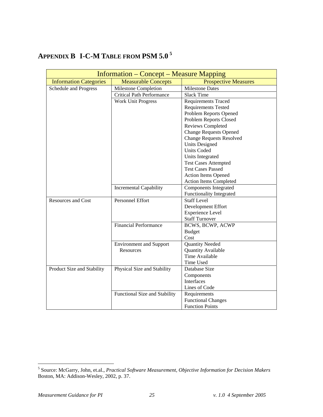# **APPENDIX B I-C-M TABLE FROM PSM 5.0 <sup>5</sup>**

|                               | <b>Information – Concept – Measure Mapping</b> |                                 |
|-------------------------------|------------------------------------------------|---------------------------------|
| <b>Information Categories</b> | <b>Measurable Concepts</b>                     | <b>Prospective Measures</b>     |
| Schedule and Progress         | Milestone Completion                           | <b>Milestone Dates</b>          |
|                               | <b>Critical Path Performance</b>               | <b>Slack Time</b>               |
|                               | <b>Work Unit Progress</b>                      | <b>Requirements Traced</b>      |
|                               |                                                | <b>Requirements Tested</b>      |
|                               |                                                | Problem Reports Opened          |
|                               |                                                | Problem Reports Closed          |
|                               |                                                | Reviews Completed               |
|                               |                                                | <b>Change Requests Opened</b>   |
|                               |                                                | <b>Change Requests Resolved</b> |
|                               |                                                | <b>Units Designed</b>           |
|                               |                                                | <b>Units Coded</b>              |
|                               |                                                | Units Integrated                |
|                               |                                                | <b>Test Cases Attempted</b>     |
|                               |                                                | <b>Test Cases Passed</b>        |
|                               |                                                | <b>Action Items Opened</b>      |
|                               |                                                | <b>Action Items Completed</b>   |
|                               | <b>Incremental Capability</b>                  | <b>Components Integrated</b>    |
|                               |                                                | <b>Functionality Integrated</b> |
| <b>Resources and Cost</b>     | <b>Personnel Effort</b>                        | <b>Staff Level</b>              |
|                               |                                                | Development Effort              |
|                               |                                                | <b>Experience Level</b>         |
|                               |                                                | <b>Staff Turnover</b>           |
|                               | <b>Financial Performance</b>                   | BCWS, BCWP, ACWP                |
|                               |                                                | <b>Budget</b>                   |
|                               |                                                | Cost                            |
|                               | <b>Environment and Support</b>                 | <b>Quantity Needed</b>          |
|                               | <b>Resources</b>                               | Quantity Available              |
|                               |                                                | Time Available                  |
|                               |                                                | Time Used                       |
| Product Size and Stability    | Physical Size and Stability                    | Database Size                   |
|                               |                                                | Components                      |
|                               |                                                | Interfaces                      |
|                               |                                                | Lines of Code                   |
|                               | Functional Size and Stability                  | Requirements                    |
|                               |                                                | <b>Functional Changes</b>       |
|                               |                                                | <b>Function Points</b>          |

 5 Source: McGarry, John, et.al., *Practical Software Measurement, Objective Information for Decision Makers*  Boston, MA: Addison-Wesley, 2002, p. 37.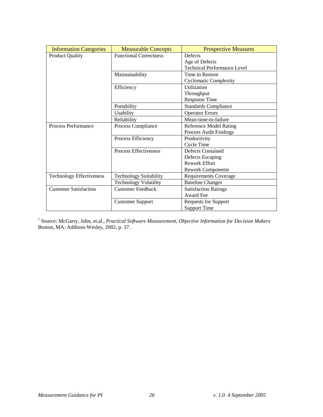| <b>Information Categories</b>   | <b>Measurable Concepts</b>    | <b>Prospective Measures</b>        |
|---------------------------------|-------------------------------|------------------------------------|
| <b>Product Quality</b>          | <b>Functional Correctness</b> | <b>Defects</b>                     |
|                                 |                               | Age of Defects                     |
|                                 |                               | <b>Technical Performance Level</b> |
|                                 | Maintainability               | Time to Restore                    |
|                                 |                               | <b>Cyclomatic Complexity</b>       |
|                                 | Efficiency                    | Utilization                        |
|                                 |                               | Throughput                         |
|                                 |                               | <b>Response Time</b>               |
|                                 | Portability                   | <b>Standards Compliance</b>        |
|                                 | Usability                     | <b>Operator Errors</b>             |
|                                 | Reliability                   | Mean-time-to-failure               |
| Process Performance             | Process Compliance            | <b>Reference Model Rating</b>      |
|                                 |                               | Process Audit Findings             |
|                                 | Process Efficiency            | Productivity                       |
|                                 |                               | <b>Cycle Time</b>                  |
|                                 | <b>Process Effectiveness</b>  | Defects Contained                  |
|                                 |                               | <b>Defects Escaping</b>            |
|                                 |                               | <b>Rework Effort</b>               |
|                                 |                               | <b>Rework Components</b>           |
| <b>Technology Effectiveness</b> | <b>Technology Suitability</b> | <b>Requirements Coverage</b>       |
|                                 | <b>Technology Volatility</b>  | <b>Baseline Changes</b>            |
| <b>Customer Satisfaction</b>    | <b>Customer Feedback</b>      | <b>Satisfaction Ratings</b>        |
|                                 |                               | Award Fee                          |
|                                 | <b>Customer Support</b>       | <b>Requests for Support</b>        |
|                                 |                               | <b>Support Time</b>                |

<sup>1</sup> Source: McGarry, John, et.al., *Practical Software Measurement, Objective Information for Decision Makers* Boston, MA: Addison-Wesley, 2002, p. 37.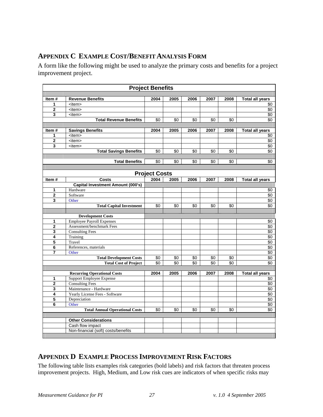# **APPENDIX C EXAMPLE COST/BENEFIT ANALYSIS FORM**

A form like the following might be used to analyze the primary costs and benefits for a project improvement project.

|                         |                                                              | <b>Project Benefits</b> |      |      |      |      |                               |
|-------------------------|--------------------------------------------------------------|-------------------------|------|------|------|------|-------------------------------|
|                         |                                                              |                         |      |      |      |      |                               |
| Item#                   | <b>Revenue Benefits</b>                                      | 2004                    | 2005 | 2006 | 2007 | 2008 | <b>Total all years</b>        |
| 1                       | <item></item>                                                |                         |      |      |      |      | \$0                           |
| $\mathbf{2}$            | <item></item>                                                |                         |      |      |      |      | $\sqrt{6}$                    |
| 3                       | <item></item>                                                |                         |      |      |      |      | \$0                           |
|                         | <b>Total Revenue Benefits</b>                                | \$0                     | \$0  | \$0  | \$0  | \$0  | \$0                           |
|                         |                                                              |                         |      |      |      |      |                               |
| Item#<br>1              | <b>Savings Benefits</b><br><item></item>                     | 2004                    | 2005 | 2006 | 2007 | 2008 | <b>Total all years</b><br>\$0 |
| 2                       | $\overline{\mathsf{d}}$                                      |                         |      |      |      |      | \$0                           |
| 3                       | <item></item>                                                |                         |      |      |      |      | \$0                           |
|                         | <b>Total Savings Benefits</b>                                | \$0                     | \$0  | \$0  | \$0  | \$0  | \$0                           |
|                         |                                                              |                         |      |      |      |      |                               |
|                         | <b>Total Benefits</b>                                        | \$0                     | \$0  | \$0  | \$0  | \$0  | \$0                           |
|                         |                                                              |                         |      |      |      |      |                               |
|                         |                                                              | <b>Project Costs</b>    |      |      |      |      |                               |
| Item#                   | Costs                                                        | 2004                    | 2005 | 2006 | 2007 | 2008 | <b>Total all years</b>        |
|                         | <b>Capital Investment Amount (000's)</b>                     |                         |      |      |      |      |                               |
| 1                       | Hardware                                                     |                         |      |      |      |      | \$0                           |
| 2                       | Software                                                     |                         |      |      |      |      | \$0                           |
| 3                       | Other                                                        |                         |      |      |      |      | \$0                           |
|                         | <b>Total Capital Investment</b>                              | \$0                     | \$0  | \$0  | \$0  | \$0  | \$0                           |
|                         |                                                              |                         |      |      |      |      |                               |
| 1                       | <b>Development Costs</b><br><b>Employee Payroll Expenses</b> |                         |      |      |      |      | \$0                           |
| 2                       | Assessment/benchmark Fees                                    |                         |      |      |      |      | \$0                           |
| 3                       | Consulting Fees                                              |                         |      |      |      |      | \$0                           |
| 4                       | Training                                                     |                         |      |      |      |      | \$0                           |
| $\overline{\mathbf{5}}$ | Travel                                                       |                         |      |      |      |      | \$0                           |
| 6                       | References, materials                                        |                         |      |      |      |      | \$0                           |
| 7                       | Other                                                        |                         |      |      |      |      | \$0                           |
|                         | <b>Total Development Costs</b>                               | \$0                     | \$0  | \$0  | \$0  | \$0  | \$0                           |
|                         | <b>Total Cost of Project</b>                                 | \$0                     | \$0  | \$0  | \$0  | \$0  | \$0                           |
|                         |                                                              |                         |      |      |      |      |                               |
|                         | <b>Recurring Operational Costs</b>                           | 2004                    | 2005 | 2006 | 2007 | 2008 | <b>Total all years</b>        |
| 1<br>$\mathbf{2}$       | <b>Support Employee Expense</b><br><b>Consulting Fees</b>    |                         |      |      |      |      | \$0<br>\$0                    |
| 3                       | Maintenance - Hardware                                       |                         |      |      |      |      | $\sqrt[6]{3}$                 |
| 4                       | Yearly License Fees - Software                               |                         |      |      |      |      | \$0                           |
| 5                       | Depreciation                                                 |                         |      |      |      |      | $\sqrt{6}$                    |
| 6                       | Other                                                        |                         |      |      |      |      | \$0                           |
|                         | <b>Total Annual Operational Costs</b>                        | \$0                     | \$0  | \$0  | \$0  | \$0  | $\overline{50}$               |
|                         |                                                              |                         |      |      |      |      |                               |
|                         | <b>Other Considerations</b>                                  |                         |      |      |      |      |                               |
|                         | Cash flow impact                                             |                         |      |      |      |      |                               |
|                         | Non-financial (soft) costs/benefits                          |                         |      |      |      |      |                               |
|                         |                                                              |                         |      |      |      |      |                               |

#### **APPENDIX D EXAMPLE PROCESS IMPROVEMENT RISK FACTORS**

The following table lists examples risk categories (bold labels) and risk factors that threaten process improvement projects. High, Medium, and Low risk cues are indicators of when specific risks may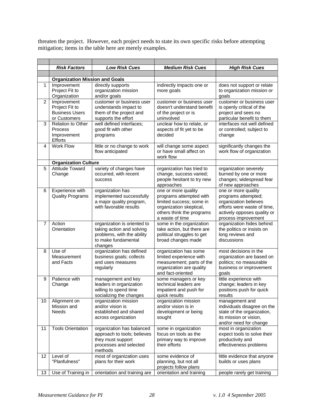threaten the project. However, each project needs to state its own specific risks before attempting mitigation; items in the table here are merely examples.

|                | <b>Risk Factors</b>                                                    | <b>Low Risk Cues</b>                                                                                                     | <b>Medium Risk Cues</b>                                                                                                                               | <b>High Risk Cues</b>                                                                                                                                    |
|----------------|------------------------------------------------------------------------|--------------------------------------------------------------------------------------------------------------------------|-------------------------------------------------------------------------------------------------------------------------------------------------------|----------------------------------------------------------------------------------------------------------------------------------------------------------|
|                |                                                                        |                                                                                                                          |                                                                                                                                                       |                                                                                                                                                          |
|                | <b>Organization Mission and Goals</b>                                  |                                                                                                                          |                                                                                                                                                       |                                                                                                                                                          |
| 1              | Improvement<br>Project Fit to<br>Organization                          | directly supports<br>organization mission<br>and/or goals                                                                | indirectly impacts one or<br>more goals                                                                                                               | does not support or relate<br>to organization mission or<br>goals                                                                                        |
| $\overline{c}$ | Improvement<br>Project Fit to<br><b>Business Users</b><br>or Customers | customer or business user<br>understands impact to<br>them of the project and<br>supports the effort                     | customer or business user<br>doesn't understand benefit<br>of the project or is<br>uninvolved                                                         | customer or business user<br>is openly critical of the<br>project and sees no<br>particular benefit to them                                              |
| 3              | <b>Relation to Other</b><br><b>Process</b><br>Improvement<br>Efforts   | well defined interfaces;<br>good fit with other<br>programs                                                              | unclear how to relate, or<br>aspects of fit yet to be<br>decided                                                                                      | interfaces not well defined<br>or controlled; subject to<br>change                                                                                       |
| 4              | <b>Work Flow</b>                                                       | little or no change to work<br>flow anticipated                                                                          | will change some aspect<br>or have small affect on<br>work flow                                                                                       | significantly changes the<br>work flow of organization                                                                                                   |
|                | <b>Organization Culture</b>                                            |                                                                                                                          |                                                                                                                                                       |                                                                                                                                                          |
| 5              | <b>Attitude Toward</b><br>Change                                       | variety of changes have<br>occurred, with recent<br>success                                                              | organization has tried to<br>change, success varied;<br>people hesitant to try new<br>approaches                                                      | organization severely<br>burned by one or more<br>changes; widespread fear<br>of new approaches                                                          |
| 6              | Experience with<br><b>Quality Programs</b>                             | organization has<br>implemented successfully<br>a major quality program,<br>with favorable results                       | one or more quality<br>programs attempted with<br>limited success; some in<br>organization skeptical,<br>others think the programs<br>a waste of time | one or more quality<br>programs attempted;<br>organization believes<br>efforts were waste of time,<br>actively opposes quality or<br>process improvement |
| $\overline{7}$ | Action<br>Orientation                                                  | organization is oriented to<br>taking action and solving<br>problems, with the ability<br>to make fundamental<br>changes | some in the organization<br>take action, but there are<br>political struggles to get<br>broad changes made                                            | organization hides behind<br>the politics or insists on<br>long reviews and<br>discussions                                                               |
| 8              | Use of<br>Measurement<br>and Facts                                     | organization has defined<br>business goals; collects<br>and uses measures<br>regularly                                   | organization has some<br>limited experience with<br>measurement; parts of the<br>organization are quality<br>and fact-oriented                        | most decisions in the<br>organization are based on<br>politics; no measurable<br>business or improvement<br>goals                                        |
| 9              | Patience with<br>Change                                                | management and key<br>leaders in organization<br>willing to spend time<br>socializing the changes                        | some managers or key<br>technical leaders are<br>impatient and push for<br>quick results                                                              | little experience with<br>change; leaders in key<br>positions push for quick<br>results                                                                  |
| 10             | Alignment on<br>Mission and<br><b>Needs</b>                            | organization mission<br>and/or vision is<br>established and shared<br>across organization                                | organization mission<br>and/or vision is in<br>development or being<br>sought                                                                         | management and<br>individuals disagree on the<br>state of the organization,<br>its mission or vision,<br>and/or need for change                          |
| 11             | <b>Tools Orientation</b>                                               | organization has balanced<br>approach to tools; believes<br>they must support<br>processes and selected<br>methods       | some in organization<br>focus on tools as the<br>primary way to improve<br>their efforts                                                              | most in organization<br>expect tools to solve their<br>productivity and<br>effectiveness problems                                                        |
| 12             | Level of<br>"Planfulness"                                              | most of organization uses<br>plans for their work                                                                        | some evidence of<br>planning, but not all<br>projects follow plans                                                                                    | little evidence that anyone<br>builds or uses plans                                                                                                      |
| 13             | Use of Training in                                                     | orientation and training are                                                                                             | orientation and training                                                                                                                              | people rarely get training                                                                                                                               |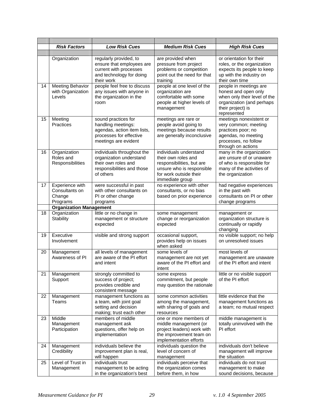|    | <b>Risk Factors</b>                                     | <b>Low Risk Cues</b>                                                                                                        | <b>Medium Risk Cues</b>                                                                                                                              | <b>High Risk Cues</b>                                                                                                                           |
|----|---------------------------------------------------------|-----------------------------------------------------------------------------------------------------------------------------|------------------------------------------------------------------------------------------------------------------------------------------------------|-------------------------------------------------------------------------------------------------------------------------------------------------|
|    |                                                         |                                                                                                                             |                                                                                                                                                      |                                                                                                                                                 |
|    | Organization                                            | regularly provided, to<br>ensure that employees are<br>current with processes<br>and technology for doing<br>their work     | are provided when<br>pressure from project<br>problems or competition<br>point out the need for that<br>training                                     | or orientation for their<br>roles, or the organization<br>expects its people to keep<br>up with the industry on<br>their own time               |
| 14 | <b>Meeting Behavior</b><br>with Organization<br>Levels  | people feel free to discuss<br>any issues with anyone in<br>the organization in the<br>room                                 | people at one level of the<br>organization are<br>comfortable with some<br>people at higher levels of<br>management                                  | people in meetings are<br>honest and open only<br>when only their level of the<br>organization (and perhaps<br>their project) is<br>represented |
| 15 | Meeting<br>Practices                                    | sound practices for<br>handling meetings:<br>agendas, action item lists,<br>processes for effective<br>meetings are evident | meetings are rare or<br>people avoid going to<br>meetings because results<br>are generally inconclusive                                              | meetings nonexistent or<br>very common; meeting<br>practices poor; no<br>agendas, no meeting<br>processes, no follow<br>through on actions      |
| 16 | Organization<br>Roles and<br>Responsibilities           | individuals throughout the<br>organization understand<br>their own roles and<br>responsibilities and those<br>of others     | individuals understand<br>their own roles and<br>responsibilities, but are<br>unsure who is responsible<br>for work outside their<br>immediate group | many in the organization<br>are unsure of or unaware<br>of who is responsible for<br>many of the activities of<br>the organization              |
| 17 | Experience with<br>Consultants on<br>Change<br>Programs | were successful in past<br>with other consultants on<br>PI or other change<br>programs                                      | no experience with other<br>consultants, or no bias<br>based on prior experience                                                                     | had negative experiences<br>in the past with<br>consultants on PI or other<br>change programs                                                   |
|    | <b>Organization Management</b>                          |                                                                                                                             |                                                                                                                                                      |                                                                                                                                                 |
| 18 | Organization<br>Stability                               | little or no change in<br>management or structure<br>expected                                                               | some management<br>change or reorganization<br>expected                                                                                              | management or<br>organization structure is<br>continually or rapidly<br>changing                                                                |
| 19 | Executive<br>Involvement                                | visible and strong support                                                                                                  | occasional support,<br>provides help on issues<br>when asked                                                                                         | no visible support; no help<br>on unresolved issues                                                                                             |
| 20 | Management<br>Awareness of PI                           | all levels of management<br>are aware of the PI effort<br>and intent                                                        | some levels of<br>management are not yet<br>aware of the PI effort and<br>intent                                                                     | most levels of<br>management are unaware<br>of the PI effort and intent                                                                         |
| 21 | Management<br>Support                                   | strongly committed to<br>success of project;<br>provides credible and<br>consistent message                                 | some express<br>commitment, but people<br>may question the rationale                                                                                 | little or no visible support<br>of the PI effort                                                                                                |
| 22 | Management<br>Teams                                     | management functions as<br>a team, with joint goal<br>setting and decision<br>making; trust each other                      | some common activities<br>among the management,<br>with sharing of goals and<br>resources                                                            | little evidence that the<br>management functions as<br>a team; no mutual respect                                                                |
| 23 | Middle<br>Management<br>Participation                   | members of middle<br>management ask<br>questions, offer help on<br>implementation                                           | one or more members of<br>middle management (or<br>project leaders) work with<br>the improvement team on<br>implementation efforts                   | middle management is<br>totally uninvolved with the<br>PI effort                                                                                |
| 24 | Management<br>Credibility                               | individuals believe the<br>improvement plan is real,<br>will happen                                                         | individuals question the<br>level of concern of<br>management                                                                                        | individuals don't believe<br>management will improve<br>the situation                                                                           |
| 25 | Level of Trust in<br>Management                         | individuals trust<br>management to be acting<br>in the organization's best                                                  | individuals perceive that<br>the organization comes<br>before them, in how                                                                           | individuals do not trust<br>management to make<br>sound decisions, because                                                                      |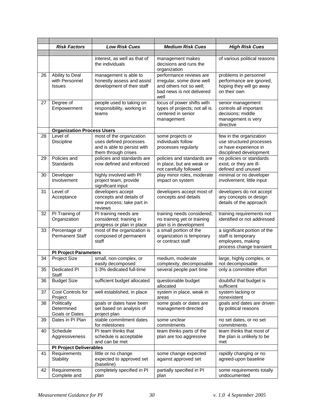|    | <b>Risk Factors</b>                                | <b>Low Risk Cues</b>                                                                                     | <b>Medium Risk Cues</b>                                                                                                                                        | <b>High Risk Cues</b>                                                                                   |
|----|----------------------------------------------------|----------------------------------------------------------------------------------------------------------|----------------------------------------------------------------------------------------------------------------------------------------------------------------|---------------------------------------------------------------------------------------------------------|
|    |                                                    |                                                                                                          |                                                                                                                                                                |                                                                                                         |
|    |                                                    | interest, as well as that of<br>the individuals                                                          | management makes<br>decisions and runs the<br>organization                                                                                                     | of various political reasons                                                                            |
| 26 | Ability to Deal<br>with Personnel<br><b>Issues</b> | management is able to<br>honestly assess and assist<br>development of their staff                        | performance reviews are<br>irregular, some done well<br>and others not so well;<br>bad news is not delivered<br>well                                           | problems in personnel<br>performance are ignored,<br>hoping they will go away<br>on their own           |
| 27 | Degree of<br>Empowerment                           | people used to taking on<br>responsibility, working in<br>teams                                          | locus of power shifts with<br>types of projects; not all is<br>centered in senior<br>management                                                                | senior management<br>controls all important<br>decisions; middle<br>management is very<br>directive     |
|    | <b>Organization Process Users</b>                  |                                                                                                          |                                                                                                                                                                |                                                                                                         |
| 28 | Level of<br><b>Discipline</b>                      | most of the organization<br>uses defined processes<br>and is able to persist with<br>them through crises | some projects or<br>individuals follow<br>processes regularly                                                                                                  | few in the organization<br>use structured processes<br>or have experience in<br>disciplined development |
| 29 | Policies and<br>Standards                          | policies and standards are<br>now defined and enforced                                                   | policies and standards are<br>no policies or standards<br>exist, or they are ill-<br>in place, but are weak or<br>not carefully followed<br>defined and unused |                                                                                                         |
| 30 | Developer<br>Involvement                           | highly involved with PI<br>project team, provide<br>significant input                                    | play minor roles, moderate<br>impact on system                                                                                                                 | minimal or no developer<br>involvement; little input                                                    |
| 31 | Level of<br>Acceptance                             | developers accept<br>concepts and details of<br>new process; take part in<br>reviews                     | developers accept most of<br>concepts and details                                                                                                              | developers do not accept<br>any concepts or design<br>details of the approach                           |
| 32 | PI Training of<br>Organization                     | PI training needs are<br>considered; training in<br>progress or plan in place                            | training needs considered;<br>no training yet or training<br>plan is in development                                                                            | training requirements not<br>identified or not addressed                                                |
| 33 | Percentage of<br><b>Permanent Staff</b>            | most of the organization is<br>composed of permanent<br>staff                                            | a small portion of the<br>organization is temporary<br>or contract staff                                                                                       | a significant portion of the<br>staff is temporary<br>employees, making<br>process change transient     |
|    | <b>PI Project Parameters</b>                       |                                                                                                          |                                                                                                                                                                |                                                                                                         |
| 34 | <b>Project Size</b>                                | small, non-complex, or<br>easily decomposed                                                              | medium, moderate<br>complexity, decomposable                                                                                                                   | large, highly complex, or<br>not decomposable                                                           |
| 35 | <b>Dedicated PI</b><br>Staff                       | 1-3% dedicated full-time                                                                                 | several people part time                                                                                                                                       | only a committee effort                                                                                 |
| 36 | <b>Budget Size</b>                                 | sufficient budget allocated                                                                              | questionable budget<br>allocated                                                                                                                               | doubtful that budget is<br>sufficient                                                                   |
| 37 | Cost Controls for<br>Project                       | well established, in place                                                                               | system in place, weak in<br>areas                                                                                                                              | system lacking or<br>nonexistent                                                                        |
| 38 | Politically<br>Determined<br>Goals or Dates        | goals or dates have been<br>set based on analysis of<br>project plan                                     | some goals or dates are<br>management-directed                                                                                                                 | goals and dates are driven<br>by political reasons                                                      |
| 39 | Dates in PI Plan                                   | stable commitment dates<br>for milestones                                                                | some unclear<br>commitments                                                                                                                                    | no set dates, or no set<br>commitments                                                                  |
| 40 | Schedule<br>Aggressiveness                         | PI team thinks that<br>schedule is acceptable<br>and can be met                                          | team thinks parts of the<br>plan are too aggressive                                                                                                            | team thinks that most of<br>the plan is unlikely to be<br>met                                           |
|    | <b>PI Project Deliverables</b>                     |                                                                                                          |                                                                                                                                                                |                                                                                                         |
| 41 | Requirements<br>Stability                          | little or no change<br>expected to approved set<br>(baseline)                                            | some change expected<br>against approved set                                                                                                                   | rapidly changing or no<br>agreed-upon baseline                                                          |
| 42 | Requirements<br>Complete and                       | completely specified in PI<br>plan                                                                       | partially specified in PI<br>plan                                                                                                                              | some requirements totally<br>undocumented                                                               |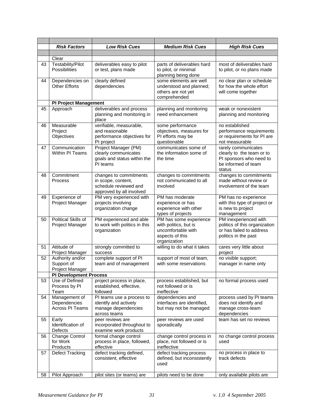|    | <b>Risk Factors</b>           | <b>Low Risk Cues</b>                                | <b>Medium Risk Cues</b>                             | <b>High Risk Cues</b>                                  |
|----|-------------------------------|-----------------------------------------------------|-----------------------------------------------------|--------------------------------------------------------|
|    |                               |                                                     |                                                     |                                                        |
| 43 | Clear<br>Testability/Pilot    | deliverables easy to pilot                          | parts of deliverables hard                          | most of deliverables hard                              |
|    | Possibilities                 | or test, plans made                                 | to pilot, or minimal<br>planning being done         | to pilot, or no plans made                             |
| 44 | Dependencies on               | clearly defined                                     | some elements are well<br>no clear plan or schedule |                                                        |
|    | <b>Other Efforts</b>          | dependencies                                        | understood and planned;<br>others are not yet       | for how the whole effort<br>will come together         |
|    |                               |                                                     | comprehended                                        |                                                        |
|    | <b>PI Project Management</b>  |                                                     |                                                     |                                                        |
| 45 | Approach                      | deliverables and process                            | planning and monitoring                             | weak or nonexistent                                    |
|    |                               | planning and monitoring in<br>place                 | need enhancement                                    | planning and monitoring                                |
| 46 | Measurable<br>Project         | verifiable, measurable,<br>and reasonable           | some performance                                    | no established                                         |
|    | Objectives                    | performance objectives for                          | objectives, measures for<br>PI efforts may be       | performance requirements<br>or requirements for PI are |
|    |                               | PI project                                          | questionable                                        | not measurable                                         |
| 47 | Communication                 | Project Manager (PM)                                | communicates some of                                | rarely communicates                                    |
|    | Within PI Teams               | clearly communicates<br>goals and status within the | the information some of<br>the time                 | clearly to the team or to<br>PI sponsors who need to   |
|    |                               | PI teams                                            |                                                     | be informed of team                                    |
|    |                               |                                                     |                                                     | status                                                 |
| 48 | Commitment                    | changes to commitments                              | changes to commitments                              | changes to commitments                                 |
|    | <b>Process</b>                | in scope, content,<br>schedule reviewed and         | not communicated to all<br>involved                 | made without review or<br>involvement of the team      |
|    |                               | approved by all involved                            |                                                     |                                                        |
| 49 | Experience of                 | PM very experienced with                            | PM has moderate                                     | PM has no experience                                   |
|    | Project Manager               | projects involving                                  | experience or has                                   | with this type of project or                           |
|    |                               | organization change                                 | experience with other<br>types of projects          | is new to project<br>management                        |
| 50 | <b>Political Skills of</b>    | PM experienced and able                             | PM has some experience                              | PM inexperienced with                                  |
|    | Project Manager               | to work with politics in this                       | with politics, but is                               | politics of this organization                          |
|    |                               | organization                                        | uncomfortable with                                  | or has failed to address                               |
|    |                               |                                                     | aspects of this<br>organization                     | politics in the past                                   |
| 51 | Attitude of                   | strongly committed to                               | willing to do what it takes                         | cares very little about                                |
|    | Project Manager               | success                                             |                                                     | project                                                |
| 52 | Authority and/or              | complete support of PI                              | support of most of team,                            | no visible support;                                    |
|    | Support of<br>Project Manager | team and of management                              | with some reservations                              | manager in name only                                   |
|    | <b>PI Development Process</b> |                                                     |                                                     |                                                        |
| 53 | Use of Defined                | project process in place,                           | process established, but                            | no formal process used                                 |
|    | Process by PI                 | established, effective,                             | not followed or is                                  |                                                        |
| 54 | Team<br>Management of         | followed<br>PI teams use a process to               | ineffective<br>dependencies and                     | process used by PI teams                               |
|    | Dependencies                  | identify and actively                               | interfaces are identified,                          | does not identify and                                  |
|    | Across PI Teams               | manage dependencies                                 | but may not be managed                              | manage cross-team                                      |
|    |                               | across teams                                        |                                                     | dependencies                                           |
| 55 | Early<br>Identification of    | peer reviews are<br>incorporated throughout to      | peer reviews are used<br>sporadically               | team has set no reviews                                |
|    | Defects                       | examine work products                               |                                                     |                                                        |
| 56 | Change Control                | formal change control                               | change control process in                           | no change control process                              |
|    | for Work                      | process in place, followed,                         | place, not followed or is                           | used                                                   |
| 57 | Products<br>Defect Tracking   | effective<br>defect tracking defined,               | ineffective<br>defect tracking process              | no process in place to                                 |
|    |                               | consistent, effective                               | defined, but inconsistently                         | track defects                                          |
|    |                               |                                                     | used                                                |                                                        |
| 58 | Pilot Approach                | pilot sites (or teams) are                          | pilots need to be done                              | only available pilots are                              |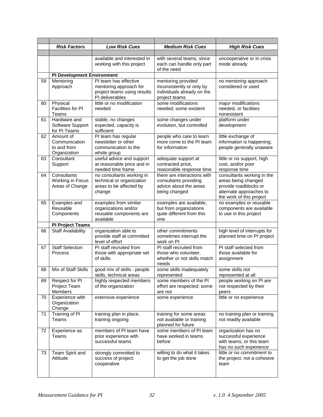|    | <b>Risk Factors</b>                                       | <b>Low Risk Cues</b>                                                                              | <b>Medium Risk Cues</b>                                                                         | <b>High Risk Cues</b>                                                                                                             |
|----|-----------------------------------------------------------|---------------------------------------------------------------------------------------------------|-------------------------------------------------------------------------------------------------|-----------------------------------------------------------------------------------------------------------------------------------|
|    |                                                           | available and interested in<br>working with this project                                          | with several teams, since<br>each can handle only part<br>of the need                           | uncooperative or in crisis<br>mode already                                                                                        |
|    | <b>PI Development Environment</b>                         |                                                                                                   |                                                                                                 |                                                                                                                                   |
| 59 | Mentoring<br>Approach                                     | PI team has effective<br>mentoring approach for<br>project teams using results<br>PI deliverables | mentoring provided<br>inconsistently or only by<br>individuals already on the<br>project teams  | no mentoring approach<br>considered or used                                                                                       |
| 60 | Physical<br>Facilities for PI<br>Teams                    | little or no modification<br>needed                                                               | some modifications<br>needed; some existent                                                     | major modifications<br>needed, or facilities<br>nonexistent                                                                       |
| 61 | Hardware and<br>Software Support<br>for PI Teams          | stable, no changes<br>expected, capacity is<br>sufficient                                         | some changes under<br>evolution, but controlled                                                 | platform under<br>development                                                                                                     |
| 62 | Amount of<br>Communication<br>to and from<br>Organization | PI team has regular<br>newsletter or other<br>communication to the<br>whole group                 | people who care to learn<br>more come to the PI team<br>for information                         | little exchange of<br>information is happening;<br>people generally unaware                                                       |
| 63 | Consultant<br>Support                                     | useful advice and support<br>at reasonable price and in<br>needed time frame                      | adequate support at<br>contracted price,<br>reasonable response time                            | little or no support, high<br>cost, and/or poor<br>response time                                                                  |
| 64 | Consultants<br>Working in Focus<br>Areas of Change        | no consultants working in<br>technical or organization<br>areas to be affected by<br>change       | there are interactions with<br>consultants providing<br>advice about the areas<br>being changed | consultants working in the<br>areas being changed<br>provide roadblocks or<br>alternate approaches to<br>the work of this project |
| 65 | Examples and<br>Reusable<br>Components                    | examples from similar<br>organizations and/or<br>reusable components are<br>available             | examples are available,<br>but from organizations<br>quite different from this<br>one           | no examples or reusable<br>components are available<br>to use in this project                                                     |
|    | <b>PI Project Teams</b>                                   |                                                                                                   |                                                                                                 |                                                                                                                                   |
| 66 | <b>Staff Availability</b>                                 | organization able to<br>provide staff at committed<br>level of effort                             | other commitments<br>sometimes interrupt the<br>work on PI                                      | high level of interrupts for<br>planned time on PI project                                                                        |
| 67 | <b>Staff Selection</b><br><b>Process</b>                  | PI staff recruited from<br>those with appropriate set<br>of skills                                | PI staff recruited from<br>those who volunteer,<br>whether or not skills match<br>needs         | PI staff selected from<br>those available for<br>assignment                                                                       |
| 68 | Mix of Staff Skills                                       | good mix of skills - people<br>skills, technical areas                                            | some skills inadequately<br>represented                                                         | some skills not<br>represented at all                                                                                             |
| 69 | Respect for PI<br>Project Team<br><b>Members</b>          | highly respected members<br>of the organization                                                   | some members of the PI<br>effort are respected; some<br>are not                                 | people working on PI are<br>not respected by their<br>peers                                                                       |
| 70 | Experience with<br>Organization<br>Change                 | extensive experience                                                                              | some experience                                                                                 | little or no experience                                                                                                           |
| 71 | Training of PI<br>Teams                                   | training plan in place,<br>training ongoing                                                       | training for some areas<br>not available or training<br>planned for future                      | no training plan or training<br>not readily available                                                                             |
| 72 | Experience as<br>Teams                                    | members of PI team have<br>prior experience with<br>successful teams                              | some members of PI team<br>have worked in teams<br>before                                       | organization has no<br>successful experience<br>with teams, or this team<br>has no such experience                                |
| 73 | Team Spirit and<br>Attitude                               | strongly committed to<br>success of project;<br>cooperative                                       | willing to do what it takes<br>to get the job done                                              | little or no commitment to<br>the project; not a cohesive<br>team                                                                 |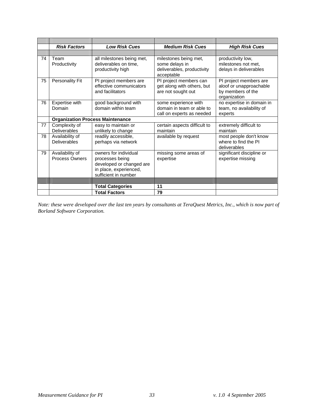|    | <b>Risk Factors</b>                      | <b>Low Risk Cues</b>                                                                                                   | <b>Medium Risk Cues</b>                                                             | <b>High Risk Cues</b>                                                                  |
|----|------------------------------------------|------------------------------------------------------------------------------------------------------------------------|-------------------------------------------------------------------------------------|----------------------------------------------------------------------------------------|
|    |                                          |                                                                                                                        |                                                                                     |                                                                                        |
| 74 | Team<br>Productivity                     | all milestones being met,<br>deliverables on time,<br>productivity high                                                | milestones being met,<br>some delays in<br>deliverables, productivity<br>acceptable | productivity low,<br>milestones not met,<br>delays in deliverables                     |
| 75 | <b>Personality Fit</b>                   | PI project members are<br>effective communicators<br>and facilitators                                                  | PI project members can<br>get along with others, but<br>are not sought out          | PI project members are<br>aloof or unapproachable<br>by members of the<br>organization |
| 76 | Expertise with<br>Domain                 | good background with<br>domain within team                                                                             | some experience with<br>domain in team or able to<br>call on experts as needed      | no expertise in domain in<br>team, no availability of<br>experts                       |
|    | <b>Organization Process Maintenance</b>  |                                                                                                                        |                                                                                     |                                                                                        |
| 77 | Complexity of<br><b>Deliverables</b>     | easy to maintain or<br>unlikely to change                                                                              | certain aspects difficult to<br>maintain                                            | extremely difficult to<br>maintain                                                     |
| 78 | Availability of<br><b>Deliverables</b>   | readily accessible,<br>perhaps via network                                                                             | available by request                                                                | most people don't know<br>where to find the PI<br>deliverables                         |
| 79 | Availability of<br><b>Process Owners</b> | owners for individual<br>processes being<br>developed or changed are<br>in place, experienced,<br>sufficient in number | missing some areas of<br>expertise                                                  | significant discipline or<br>expertise missing                                         |
|    |                                          |                                                                                                                        |                                                                                     |                                                                                        |
|    |                                          | <b>Total Categories</b>                                                                                                | 11                                                                                  |                                                                                        |
|    |                                          | <b>Total Factors</b>                                                                                                   | 79                                                                                  |                                                                                        |

*Note: these were developed over the last ten years by consultants at TeraQuest Metrics, Inc., which is now part of Borland Software Corporation.*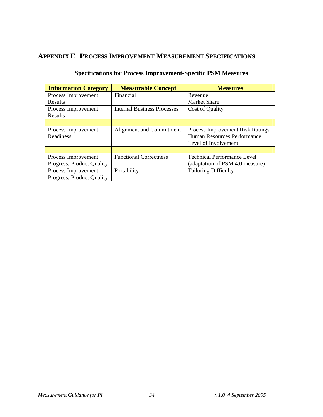## **APPENDIX E PROCESS IMPROVEMENT MEASUREMENT SPECIFICATIONS**

| <b>Information Category</b>      | <b>Measurable Concept</b>          | <b>Measures</b>                    |  |
|----------------------------------|------------------------------------|------------------------------------|--|
| Process Improvement              | Financial                          | Revenue                            |  |
| <b>Results</b>                   |                                    | <b>Market Share</b>                |  |
| Process Improvement              | <b>Internal Business Processes</b> | Cost of Quality                    |  |
| Results                          |                                    |                                    |  |
|                                  |                                    |                                    |  |
| Process Improvement              | Alignment and Commitment           | Process Improvement Risk Ratings   |  |
| Readiness                        |                                    | Human Resources Performance        |  |
|                                  |                                    | Level of Involvement               |  |
|                                  |                                    |                                    |  |
| Process Improvement              | <b>Functional Correctness</b>      | <b>Technical Performance Level</b> |  |
| <b>Progress: Product Quality</b> |                                    | (adaptation of PSM 4.0 measure)    |  |
| Process Improvement              | Portability                        | <b>Tailoring Difficulty</b>        |  |
| <b>Progress: Product Quality</b> |                                    |                                    |  |

#### **Specifications for Process Improvement-Specific PSM Measures**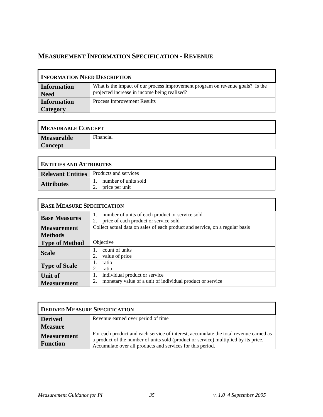# **MEASUREMENT INFORMATION SPECIFICATION - REVENUE**

| <b>INFORMATION NEED DESCRIPTION</b> |                                                                                                                                |  |  |
|-------------------------------------|--------------------------------------------------------------------------------------------------------------------------------|--|--|
| Information<br><b>Need</b>          | What is the impact of our process improvement program on revenue goals? Is the<br>projected increase in income being realized? |  |  |
| <b>Information</b>                  | Process Improvement Results                                                                                                    |  |  |
| <b>Category</b>                     |                                                                                                                                |  |  |

| <b>MEASURABLE CONCEPT</b> |           |
|---------------------------|-----------|
| <b>Measurable</b>         | Financial |
| <b>Concept</b>            |           |

| <b>ENTITIES AND ATTRIBUTES</b>                 |                                        |
|------------------------------------------------|----------------------------------------|
| <b>Relevant Entities</b> Products and services |                                        |
| <b>Attributes</b>                              | number of units sold<br>price per unit |

| <b>BASE MEASURE SPECIFICATION</b> |                                                                                                        |
|-----------------------------------|--------------------------------------------------------------------------------------------------------|
| <b>Base Measures</b>              | number of units of each product or service sold<br>1.<br>price of each product or service sold<br>2.   |
| <b>Measurement</b>                | Collect actual data on sales of each product and service, on a regular basis                           |
| <b>Methods</b>                    |                                                                                                        |
| <b>Type of Method</b>             | Objective                                                                                              |
| <b>Scale</b>                      | count of units<br>value of price<br>2.                                                                 |
| <b>Type of Scale</b>              | ratio<br>2.<br>ratio                                                                                   |
| Unit of<br><b>Measurement</b>     | individual product or service<br>1.<br>monetary value of a unit of individual product or service<br>2. |

| <b>DERIVED MEASURE SPECIFICATION</b>  |                                                                                                                                                                                                                                            |
|---------------------------------------|--------------------------------------------------------------------------------------------------------------------------------------------------------------------------------------------------------------------------------------------|
| <b>Derived</b>                        | Revenue earned over period of time                                                                                                                                                                                                         |
| <b>Measure</b>                        |                                                                                                                                                                                                                                            |
| <b>Measurement</b><br><b>Function</b> | For each product and each service of interest, accumulate the total revenue earned as<br>a product of the number of units sold (product or service) multiplied by its price.<br>Accumulate over all products and services for this period. |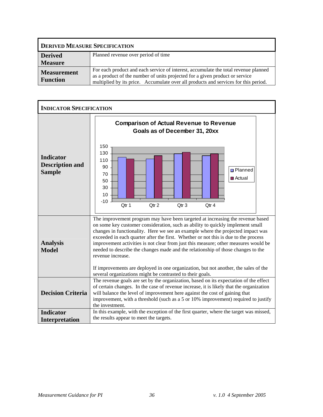| <b>DERIVED MEASURE SPECIFICATION</b>  |                                                                                                                                                                                                                                                            |
|---------------------------------------|------------------------------------------------------------------------------------------------------------------------------------------------------------------------------------------------------------------------------------------------------------|
| <b>Derived</b>                        | Planned revenue over period of time                                                                                                                                                                                                                        |
| <b>Measure</b>                        |                                                                                                                                                                                                                                                            |
| <b>Measurement</b><br><b>Function</b> | For each product and each service of interest, accumulate the total revenue planned<br>as a product of the number of units projected for a given product or service<br>multiplied by its price. Accumulate over all products and services for this period. |

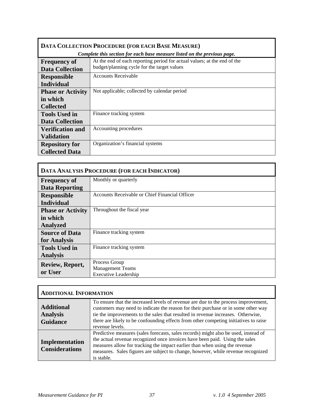| DATA COLLECTION PROCEDURE (FOR EACH BASE MEASURE) |                                                                                                                         |
|---------------------------------------------------|-------------------------------------------------------------------------------------------------------------------------|
|                                                   | Complete this section for each base measure listed on the previous page.                                                |
| <b>Frequency of</b><br><b>Data Collection</b>     | At the end of each reporting period for actual values; at the end of the<br>budget/planning cycle for the target values |
|                                                   | Accounts Receivable                                                                                                     |
| <b>Responsible</b>                                |                                                                                                                         |
| <b>Individual</b>                                 |                                                                                                                         |
| <b>Phase or Activity</b>                          | Not applicable; collected by calendar period                                                                            |
| in which                                          |                                                                                                                         |
| <b>Collected</b>                                  |                                                                                                                         |
| <b>Tools Used in</b>                              | Finance tracking system                                                                                                 |
| <b>Data Collection</b>                            |                                                                                                                         |
| <b>Verification and</b>                           | Accounting procedures                                                                                                   |
| <b>Validation</b>                                 |                                                                                                                         |
| <b>Repository for</b>                             | Organization's financial systems                                                                                        |
| <b>Collected Data</b>                             |                                                                                                                         |

| DATA ANALYSIS PROCEDURE (FOR EACH INDICATOR) |                                                |
|----------------------------------------------|------------------------------------------------|
| <b>Frequency of</b>                          | Monthly or quarterly                           |
| <b>Data Reporting</b>                        |                                                |
| <b>Responsible</b>                           | Accounts Receivable or Chief Financial Officer |
| <b>Individual</b>                            |                                                |
| <b>Phase or Activity</b>                     | Throughout the fiscal year                     |
| in which                                     |                                                |
| <b>Analyzed</b>                              |                                                |
| <b>Source of Data</b>                        | Finance tracking system                        |
| for Analysis                                 |                                                |
| <b>Tools Used in</b>                         | Finance tracking system                        |
| <b>Analysis</b>                              |                                                |
| Review, Report,                              | Process Group                                  |
| or User                                      | <b>Management Teams</b>                        |
|                                              | <b>Executive Leadership</b>                    |

| <b>ADDITIONAL INFORMATION</b>                           |                                                                                                                                                                                                                                                                                                                                                                        |
|---------------------------------------------------------|------------------------------------------------------------------------------------------------------------------------------------------------------------------------------------------------------------------------------------------------------------------------------------------------------------------------------------------------------------------------|
| <b>Additional</b><br><b>Analysis</b><br><b>Guidance</b> | To ensure that the increased levels of revenue are due to the process improvement,<br>customers may need to indicate the reason for their purchase or in some other way<br>tie the improvements to the sales that resulted in revenue increases. Otherwise,<br>there are likely to be confounding effects from other competing initiatives to raise<br>revenue levels. |
| Implementation<br><b>Considerations</b>                 | Predictive measures (sales forecasts, sales records) might also be used, instead of<br>the actual revenue recognized once invoices have been paid. Using the sales<br>measures allow for tracking the impact earlier than when using the revenue<br>measures. Sales figures are subject to change, however, while revenue recognized<br>is stable.                     |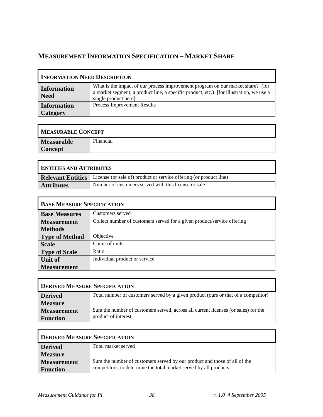# **MEASUREMENT INFORMATION SPECIFICATION – MARKET SHARE**

| <b>INFORMATION NEED DESCRIPTION</b> |                                                                                                                                                                                                   |
|-------------------------------------|---------------------------------------------------------------------------------------------------------------------------------------------------------------------------------------------------|
| <b>Information</b><br><b>Need</b>   | What is the impact of our process improvement program on our market share? (for<br>a market segment, a product line, a specific product, etc.) [for illustration, we use a<br>single product here |
| <b>Information</b><br>Category      | Process Improvement Results                                                                                                                                                                       |

| <b>MEASURABLE CONCEPT</b> |           |
|---------------------------|-----------|
| <b>Measurable</b>         | Financial |
| <b>Concept</b>            |           |

| <b>ENTITIES AND ATTRIBUTES</b> |                                                                    |
|--------------------------------|--------------------------------------------------------------------|
| <b>Relevant Entities</b>       | License (or sale of) product or service offering (or product line) |
| <b>Attributes</b>              | Number of customers served with this license or sale               |

| <b>BASE MEASURE SPECIFICATION</b> |                                                                         |
|-----------------------------------|-------------------------------------------------------------------------|
| <b>Base Measures</b>              | Customers served                                                        |
| <b>Measurement</b>                | Collect number of customers served for a given product/service offering |
| <b>Methods</b>                    |                                                                         |
| <b>Type of Method</b>             | Objective                                                               |
| <b>Scale</b>                      | Count of units                                                          |
| <b>Type of Scale</b>              | Ratio                                                                   |
| <b>Unit of</b>                    | Individual product or service                                           |
| <b>Measurement</b>                |                                                                         |

| <b>DERIVED MEASURE SPECIFICATION</b> |                                                                                    |
|--------------------------------------|------------------------------------------------------------------------------------|
| <b>Derived</b>                       | Total number of customers served by a given product (ours or that of a competitor) |
| <b>Measure</b>                       |                                                                                    |
| <b>Measurement</b>                   | Sum the number of customers served, across all current licenses (or sales) for the |
| <b>Function</b>                      | product of interest                                                                |

| DERIVED MEASURE SPECIFICATION |                                                                           |
|-------------------------------|---------------------------------------------------------------------------|
| <b>Derived</b>                | Total market served                                                       |
| <b>Measure</b>                |                                                                           |
| <b>Measurement</b>            | Sum the number of customers served by our product and those of all of the |
| <b>Function</b>               | competitors, to determine the total market served by all products.        |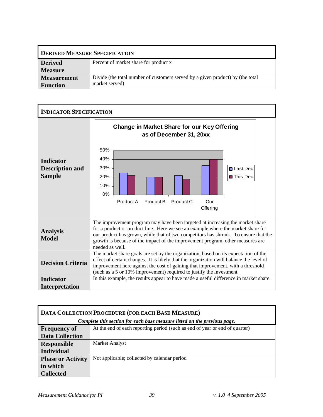| <b>DERIVED MEASURE SPECIFICATION</b> |                                                                                |
|--------------------------------------|--------------------------------------------------------------------------------|
| <b>Derived</b>                       | Percent of market share for product x                                          |
| <b>Measure</b>                       |                                                                                |
| <b>Measurement</b>                   | Divide (the total number of customers served by a given product) by (the total |
| <b>Function</b>                      | market served)                                                                 |



| DATA COLLECTION PROCEDURE (FOR EACH BASE MEASURE)                        |                                                                             |
|--------------------------------------------------------------------------|-----------------------------------------------------------------------------|
| Complete this section for each base measure listed on the previous page. |                                                                             |
| <b>Frequency of</b>                                                      | At the end of each reporting period (such as end of year or end of quarter) |
| <b>Data Collection</b>                                                   |                                                                             |
| <b>Responsible</b>                                                       | Market Analyst                                                              |
| <b>Individual</b>                                                        |                                                                             |
| <b>Phase or Activity</b>                                                 | Not applicable; collected by calendar period                                |
| in which                                                                 |                                                                             |
| <b>Collected</b>                                                         |                                                                             |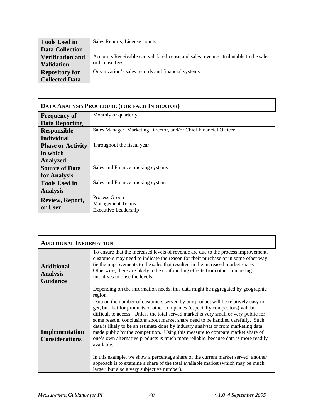| <b>Tools Used in</b>    | Sales Reports, License counts                                                        |
|-------------------------|--------------------------------------------------------------------------------------|
| <b>Data Collection</b>  |                                                                                      |
| <b>Verification and</b> | Accounts Receivable can validate license and sales revenue attributable to the sales |
| <b>Validation</b>       | or license fees                                                                      |
| <b>Repository for</b>   | Organization's sales records and financial systems                                   |
| <b>Collected Data</b>   |                                                                                      |

| DATA ANALYSIS PROCEDURE (FOR EACH INDICATOR) |                                                                   |
|----------------------------------------------|-------------------------------------------------------------------|
| <b>Frequency of</b>                          | Monthly or quarterly                                              |
| <b>Data Reporting</b>                        |                                                                   |
| <b>Responsible</b>                           | Sales Manager, Marketing Director, and/or Chief Financial Officer |
| <b>Individual</b>                            |                                                                   |
| <b>Phase or Activity</b>                     | Throughout the fiscal year                                        |
| in which                                     |                                                                   |
| <b>Analyzed</b>                              |                                                                   |
| <b>Source of Data</b>                        | Sales and Finance tracking systems                                |
| for Analysis                                 |                                                                   |
| <b>Tools Used in</b>                         | Sales and Finance tracking system                                 |
| <b>Analysis</b>                              |                                                                   |
| Review, Report,                              | Process Group                                                     |
| or User                                      | <b>Management Teams</b>                                           |
|                                              | <b>Executive Leadership</b>                                       |

| <b>ADDITIONAL INFORMATION</b>                           |                                                                                                                                                                                                                                                                                                                                                                                                                                                                                                                                                                                                                                                                                                                                                                                                                                               |
|---------------------------------------------------------|-----------------------------------------------------------------------------------------------------------------------------------------------------------------------------------------------------------------------------------------------------------------------------------------------------------------------------------------------------------------------------------------------------------------------------------------------------------------------------------------------------------------------------------------------------------------------------------------------------------------------------------------------------------------------------------------------------------------------------------------------------------------------------------------------------------------------------------------------|
| <b>Additional</b><br><b>Analysis</b><br><b>Guidance</b> | To ensure that the increased levels of revenue are due to the process improvement,<br>customers may need to indicate the reason for their purchase or in some other way<br>tie the improvements to the sales that resulted in the increased market share.<br>Otherwise, there are likely to be confounding effects from other competing<br>initiatives to raise the levels.                                                                                                                                                                                                                                                                                                                                                                                                                                                                   |
|                                                         | Depending on the information needs, this data might be aggregated by geographic<br>region.                                                                                                                                                                                                                                                                                                                                                                                                                                                                                                                                                                                                                                                                                                                                                    |
| Implementation<br><b>Considerations</b>                 | Data on the number of customers served by our product will be relatively easy to<br>get, but that for products of other companies (especially competitors) will be<br>difficult to access. Unless the total served market is very small or very public for<br>some reason, conclusions about market share need to be handled carefully. Such<br>data is likely to be an estimate done by industry analysts or from marketing data<br>made public by the competition. Using this measure to compare market share of<br>one's own alternative products is much more reliable, because data is more readily<br>available.<br>In this example, we show a percentage share of the current market served; another<br>approach is to examine a share of the total available market (which may be much<br>larger, but also a very subjective number). |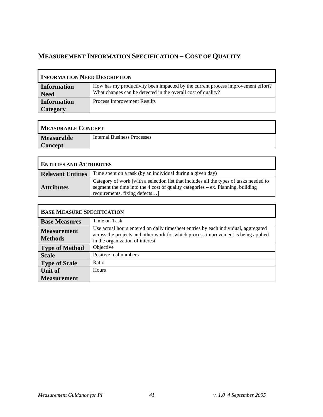# **MEASUREMENT INFORMATION SPECIFICATION – COST OF QUALITY**

| <b>INFORMATION NEED DESCRIPTION</b> |                                                                                                                                                  |
|-------------------------------------|--------------------------------------------------------------------------------------------------------------------------------------------------|
| <b>Information</b><br><b>Need</b>   | How has my productivity been impacted by the current process improvement effort?<br>What changes can be detected in the overall cost of quality? |
| <b>Information</b><br>Category      | <b>Process Improvement Results</b>                                                                                                               |

| <b>MEASURABLE CONCEPT</b> |                                    |
|---------------------------|------------------------------------|
| <b>Measurable</b>         | <b>Internal Business Processes</b> |
| <b>Concept</b>            |                                    |

| <b>ENTITIES AND ATTRIBUTES</b> |                                                                                                                                                                                                             |
|--------------------------------|-------------------------------------------------------------------------------------------------------------------------------------------------------------------------------------------------------------|
| <b>Relevant Entities</b>       | Time spent on a task (by an individual during a given day)                                                                                                                                                  |
| <b>Attributes</b>              | Category of work [with a selection list that includes all the types of tasks needed to<br>segment the time into the 4 cost of quality categories $-$ ex. Planning, building<br>requirements, fixing defects |

| <b>BASE MEASURE SPECIFICATION</b>    |                                                                                                                                                                                                            |
|--------------------------------------|------------------------------------------------------------------------------------------------------------------------------------------------------------------------------------------------------------|
| <b>Base Measures</b>                 | Time on Task                                                                                                                                                                                               |
| <b>Measurement</b><br><b>Methods</b> | Use actual hours entered on daily timesheet entries by each individual, aggregated<br>across the projects and other work for which process improvement is being applied<br>in the organization of interest |
| <b>Type of Method</b>                | Objective                                                                                                                                                                                                  |
| <b>Scale</b>                         | Positive real numbers                                                                                                                                                                                      |
| <b>Type of Scale</b>                 | Ratio                                                                                                                                                                                                      |
| <b>Unit of</b>                       | <b>Hours</b>                                                                                                                                                                                               |
| <b>Measurement</b>                   |                                                                                                                                                                                                            |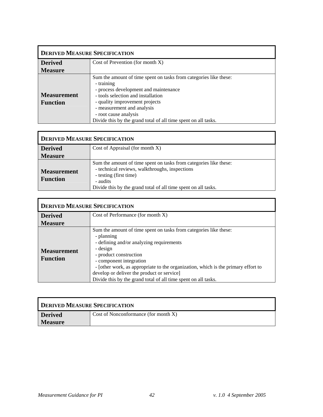| <b>DERIVED MEASURE SPECIFICATION</b>  |                                                                                                                                                                                                                                                                                                                           |
|---------------------------------------|---------------------------------------------------------------------------------------------------------------------------------------------------------------------------------------------------------------------------------------------------------------------------------------------------------------------------|
| <b>Derived</b>                        | Cost of Prevention (for month $X$ )                                                                                                                                                                                                                                                                                       |
| <b>Measure</b>                        |                                                                                                                                                                                                                                                                                                                           |
| <b>Measurement</b><br><b>Function</b> | Sum the amount of time spent on tasks from categories like these:<br>- training<br>- process development and maintenance<br>- tools selection and installation<br>- quality improvement projects<br>- measurement and analysis<br>- root cause analysis<br>Divide this by the grand total of all time spent on all tasks. |

| <b>DERIVED MEASURE SPECIFICATION</b>  |                                                                                                                                                                                                                             |
|---------------------------------------|-----------------------------------------------------------------------------------------------------------------------------------------------------------------------------------------------------------------------------|
| <b>Derived</b>                        | Cost of Appraisal (for month X)                                                                                                                                                                                             |
| <b>Measure</b>                        |                                                                                                                                                                                                                             |
| <b>Measurement</b><br><b>Function</b> | Sum the amount of time spent on tasks from categories like these:<br>- technical reviews, walkthroughs, inspections<br>- testing (first time)<br>- audits<br>Divide this by the grand total of all time spent on all tasks. |

| <b>DERIVED MEASURE SPECIFICATION</b>  |                                                                                                                                                                                                                                                                                                                                                                                                   |
|---------------------------------------|---------------------------------------------------------------------------------------------------------------------------------------------------------------------------------------------------------------------------------------------------------------------------------------------------------------------------------------------------------------------------------------------------|
| <b>Derived</b>                        | Cost of Performance (for month X)                                                                                                                                                                                                                                                                                                                                                                 |
| <b>Measure</b>                        |                                                                                                                                                                                                                                                                                                                                                                                                   |
| <b>Measurement</b><br><b>Function</b> | Sum the amount of time spent on tasks from categories like these:<br>- planning<br>- defining and/or analyzing requirements<br>- design<br>- product construction<br>- component integration<br>- [other work, as appropriate to the organization, which is the primary effort to<br>develop or deliver the product or service]<br>Divide this by the grand total of all time spent on all tasks. |

| <b>DERIVED MEASURE SPECIFICATION</b> |                                         |
|--------------------------------------|-----------------------------------------|
| <b>Derived</b>                       | Cost of Nonconformance (for month $X$ ) |
| <b>Measure</b>                       |                                         |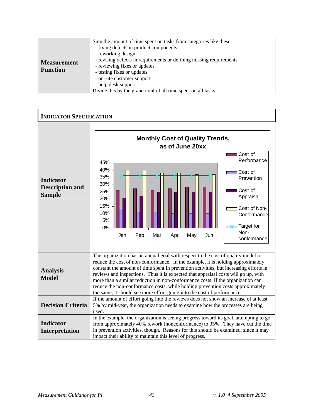|                                       | Sum the amount of time spent on tasks from categories like these:                                                                                                                                                               |
|---------------------------------------|---------------------------------------------------------------------------------------------------------------------------------------------------------------------------------------------------------------------------------|
| <b>Measurement</b><br><b>Function</b> | - fixing defects in product components<br>- reworking design<br>- revising defects in requirements or defining missing requirements<br>- reviewing fixes or updates<br>- testing fixes or updates<br>- on-site customer support |
|                                       | - help desk support<br>Divide this by the grand total of all time spent on all tasks.                                                                                                                                           |
|                                       |                                                                                                                                                                                                                                 |

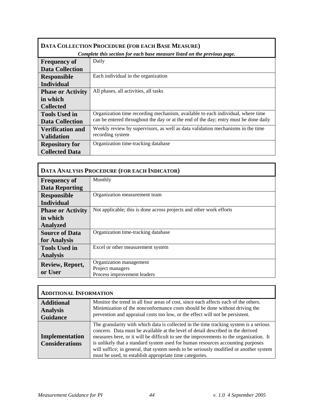| DATA COLLECTION PROCEDURE (FOR EACH BASE MEASURE)                        |                                                                                      |
|--------------------------------------------------------------------------|--------------------------------------------------------------------------------------|
| Complete this section for each base measure listed on the previous page. |                                                                                      |
| <b>Frequency of</b>                                                      | Daily                                                                                |
| <b>Data Collection</b>                                                   |                                                                                      |
| <b>Responsible</b>                                                       | Each individual in the organization                                                  |
| <b>Individual</b>                                                        |                                                                                      |
| <b>Phase or Activity</b>                                                 | All phases, all activities, all tasks                                                |
| in which                                                                 |                                                                                      |
| <b>Collected</b>                                                         |                                                                                      |
| <b>Tools Used in</b>                                                     | Organization time recording mechanism, available to each individual, where time      |
| <b>Data Collection</b>                                                   | can be entered throughout the day or at the end of the day; entry must be done daily |
| <b>Verification and</b>                                                  | Weekly review by supervisors, as well as data validation mechanisms in the time      |
| <b>Validation</b>                                                        | recording system                                                                     |
| <b>Repository for</b>                                                    | Organization time-tracking database                                                  |
| <b>Collected Data</b>                                                    |                                                                                      |

| DATA ANALYSIS PROCEDURE (FOR EACH INDICATOR) |                                                                     |
|----------------------------------------------|---------------------------------------------------------------------|
| <b>Frequency of</b>                          | Monthly                                                             |
| <b>Data Reporting</b>                        |                                                                     |
| <b>Responsible</b>                           | Organization measurement team                                       |
| <b>Individual</b>                            |                                                                     |
| <b>Phase or Activity</b>                     | Not applicable; this is done across projects and other work efforts |
| in which                                     |                                                                     |
| <b>Analyzed</b>                              |                                                                     |
| <b>Source of Data</b>                        | Organization time-tracking database                                 |
| for Analysis                                 |                                                                     |
| <b>Tools Used in</b>                         | Excel or other measurement system                                   |
| <b>Analysis</b>                              |                                                                     |
| Review, Report,                              | Organization management                                             |
| or User                                      | Project managers                                                    |
|                                              | Process improvement leaders                                         |

| <b>ADDITIONAL INFORMATION</b>           |                                                                                                                                                                                                                                                                                                                                                                                                                                                                                                            |
|-----------------------------------------|------------------------------------------------------------------------------------------------------------------------------------------------------------------------------------------------------------------------------------------------------------------------------------------------------------------------------------------------------------------------------------------------------------------------------------------------------------------------------------------------------------|
| <b>Additional</b>                       | Monitor the trend in all four areas of cost, since each affects each of the others.<br>Minimization of the nonconformance costs should be done without driving the                                                                                                                                                                                                                                                                                                                                         |
| <b>Analysis</b><br><b>Guidance</b>      | prevention and appraisal costs too low, or the effect will not be persistent.                                                                                                                                                                                                                                                                                                                                                                                                                              |
| Implementation<br><b>Considerations</b> | The granularity with which data is collected in the time tracking system is a serious<br>concern. Data must be available at the level of detail described in the derived<br>measures here, or it will be difficult to see the improvements to the organization. It<br>is unlikely that a standard system used for human resources accounting purposes<br>will suffice; in general, that system needs to be seriously modified or another system<br>must be used, to establish appropriate time categories. |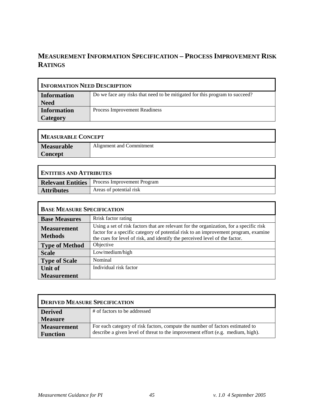# **MEASUREMENT INFORMATION SPECIFICATION – PROCESS IMPROVEMENT RISK RATINGS**

| <b>INFORMATION NEED DESCRIPTION</b> |                                                                             |
|-------------------------------------|-----------------------------------------------------------------------------|
| <b>Information</b><br><b>Need</b>   | Do we face any risks that need to be mitigated for this program to succeed? |
| <b>Information</b><br>Category      | Process Improvement Readiness                                               |

| <b>MEASURABLE CONCEPT</b> |                          |
|---------------------------|--------------------------|
| <b>Measurable</b>         | Alignment and Commitment |
| <b>Concept</b>            |                          |

| <b>ENTITIES AND ATTRIBUTES</b> |                                                        |
|--------------------------------|--------------------------------------------------------|
|                                | <b>Relevant Entities</b>   Process Improvement Program |
| <b>Attributes</b>              | Areas of potential risk                                |

| <b>BASE MEASURE SPECIFICATION</b>    |                                                                                                                                                                                                                                                               |
|--------------------------------------|---------------------------------------------------------------------------------------------------------------------------------------------------------------------------------------------------------------------------------------------------------------|
| <b>Base Measures</b>                 | Rrisk factor rating                                                                                                                                                                                                                                           |
| <b>Measurement</b><br><b>Methods</b> | Using a set of risk factors that are relevant for the organization, for a specific risk<br>factor for a specific category of potential risk to an improvement program, examine<br>the cues for level of risk, and identify the perceived level of the factor. |
| <b>Type of Method</b>                | Objective                                                                                                                                                                                                                                                     |
| <b>Scale</b>                         | Low/medium/high                                                                                                                                                                                                                                               |
| <b>Type of Scale</b>                 | Nominal                                                                                                                                                                                                                                                       |
| <b>Unit of</b>                       | Individual risk factor                                                                                                                                                                                                                                        |
| <b>Measurement</b>                   |                                                                                                                                                                                                                                                               |

| <b>DERIVED MEASURE SPECIFICATION</b> |                                                                                 |
|--------------------------------------|---------------------------------------------------------------------------------|
| <b>Derived</b>                       | # of factors to be addressed                                                    |
| <b>Measure</b>                       |                                                                                 |
| <b>Measurement</b>                   | For each category of risk factors, compute the number of factors estimated to   |
| <b>Function</b>                      | describe a given level of threat to the improvement effort (e.g. medium, high). |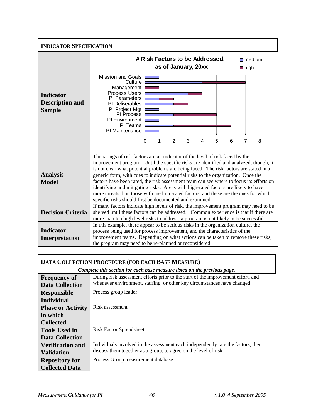| <b>INDICATOR SPECIFICATION</b>                              |  |                                                                                                                                                                                                                                                                                                                                                                                                                                                                                                                                                                                                                                                                                                                                                                                   |          |   |                |                          |                                      |   |   |                        |   |  |
|-------------------------------------------------------------|--|-----------------------------------------------------------------------------------------------------------------------------------------------------------------------------------------------------------------------------------------------------------------------------------------------------------------------------------------------------------------------------------------------------------------------------------------------------------------------------------------------------------------------------------------------------------------------------------------------------------------------------------------------------------------------------------------------------------------------------------------------------------------------------------|----------|---|----------------|--------------------------|--------------------------------------|---|---|------------------------|---|--|
| <b>Indicator</b><br><b>Description and</b><br><b>Sample</b> |  | <b>Mission and Goals</b><br>Culture<br>Management<br>Process Users<br><b>PI Parameters</b><br>PI Deliverables<br>PI Project Mgt<br>PI Process<br>PI Environment<br>PI Teams<br>PI Maintenance                                                                                                                                                                                                                                                                                                                                                                                                                                                                                                                                                                                     | $\Omega$ | 1 | $\mathfrak{p}$ | as of January, 20xx<br>3 | # Risk Factors to be Addressed,<br>4 | 5 | 6 | $m$ edium<br>nigh<br>7 | 8 |  |
| <b>Analysis</b><br><b>Model</b>                             |  | The ratings of risk factors are an indicator of the level of risk faced by the<br>improvement program. Until the specific risks are identified and analyzed, though, it<br>is not clear what potential problems are being faced. The risk factors are stated in a<br>generic form, with cues to indicate potential risks to the organization. Once the<br>factors have been rated, the risk assessment team can see where to focus its efforts on<br>identifying and mitigating risks. Areas with high-rated factors are likely to have<br>more threats than those with medium-rated factors, and these are the ones for which<br>specific risks should first be documented and examined.<br>If many factors indicate high levels of risk, the improvement program may need to be |          |   |                |                          |                                      |   |   |                        |   |  |
| <b>Decision Criteria</b>                                    |  | shelved until these factors can be addressed. Common experience is that if there are<br>more than ten high level risks to address, a program is not likely to be successful.                                                                                                                                                                                                                                                                                                                                                                                                                                                                                                                                                                                                      |          |   |                |                          |                                      |   |   |                        |   |  |
| <b>Indicator</b><br><b>Interpretation</b>                   |  | In this example, there appear to be serious risks in the organization culture, the<br>process being used for process improvement, and the characteristics of the<br>improvement teams. Depending on what actions can be taken to remove these risks,<br>the program may need to be re-planned or reconsidered.                                                                                                                                                                                                                                                                                                                                                                                                                                                                    |          |   |                |                          |                                      |   |   |                        |   |  |

| DATA COLLECTION PROCEDURE (FOR EACH BASE MEASURE) |                                                                                  |  |
|---------------------------------------------------|----------------------------------------------------------------------------------|--|
|                                                   | Complete this section for each base measure listed on the previous page.         |  |
| <b>Frequency of</b>                               | During risk assessment efforts prior to the start of the improvement effort, and |  |
| <b>Data Collection</b>                            | whenever environment, staffing, or other key circumstances have changed          |  |
| <b>Responsible</b>                                | Process group leader                                                             |  |
| <b>Individual</b>                                 |                                                                                  |  |
| <b>Phase or Activity</b>                          | Risk assessment                                                                  |  |
| in which                                          |                                                                                  |  |
| <b>Collected</b>                                  |                                                                                  |  |
| <b>Tools Used in</b>                              | <b>Risk Factor Spreadsheet</b>                                                   |  |
| <b>Data Collection</b>                            |                                                                                  |  |
| <b>Verification and</b>                           | Individuals involved in the assessment each independently rate the factors, then |  |
| <b>Validation</b>                                 | discuss them together as a group, to agree on the level of risk                  |  |
| <b>Repository for</b>                             | Process Group measurement database                                               |  |
| <b>Collected Data</b>                             |                                                                                  |  |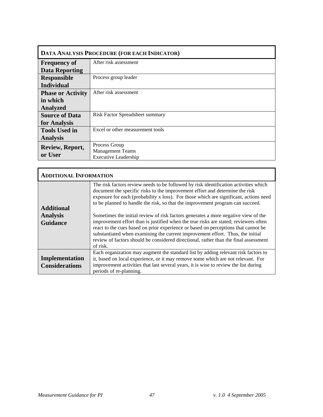| DATA ANALYSIS PROCEDURE (FOR EACH INDICATOR) |                                        |  |
|----------------------------------------------|----------------------------------------|--|
| <b>Frequency of</b>                          | After risk assessment                  |  |
| <b>Data Reporting</b>                        |                                        |  |
| <b>Responsible</b>                           | Process group leader                   |  |
| <b>Individual</b>                            |                                        |  |
| <b>Phase or Activity</b>                     | After risk assessment                  |  |
| in which                                     |                                        |  |
| <b>Analyzed</b>                              |                                        |  |
| <b>Source of Data</b>                        | <b>Risk Factor Spreadsheet summary</b> |  |
| for Analysis                                 |                                        |  |
| <b>Tools Used in</b>                         | Excel or other measurement tools       |  |
| <b>Analysis</b>                              |                                        |  |
| Review, Report,                              | Process Group                          |  |
| or User                                      | <b>Management Teams</b>                |  |
|                                              | <b>Executive Leadership</b>            |  |

| <b>ADDITIONAL INFORMATION</b>                           |                                                                                                                                                                                                                                                                                                                                                                                                                                                                                                                                                                                                                                                                                                                                                                                                           |  |  |
|---------------------------------------------------------|-----------------------------------------------------------------------------------------------------------------------------------------------------------------------------------------------------------------------------------------------------------------------------------------------------------------------------------------------------------------------------------------------------------------------------------------------------------------------------------------------------------------------------------------------------------------------------------------------------------------------------------------------------------------------------------------------------------------------------------------------------------------------------------------------------------|--|--|
| <b>Additional</b><br><b>Analysis</b><br><b>Guidance</b> | The risk factors review needs to be followed by risk identification activities which<br>document the specific risks to the improvement effort and determine the risk<br>exposure for each (probability x loss). For those which are significant, actions need<br>to be planned to handle the risk, so that the improvement program can succeed.<br>Sometimes the initial review of risk factors generates a more negative view of the<br>improvement effort than is justified when the true risks are stated; reviewers often<br>react to the cues based on prior experience or based on perceptions that cannot be<br>substantiated when examining the current improvement effort. Thus, the initial<br>review of factors should be considered directional, rather than the final assessment<br>of risk. |  |  |
| Implementation<br><b>Considerations</b>                 | Each organization may augment the standard list by adding relevant risk factors to<br>it, based on local experience, or it may remove some which are not relevant. For<br>improvement activities that last several years, it is wise to review the list during<br>periods of re-planning.                                                                                                                                                                                                                                                                                                                                                                                                                                                                                                                 |  |  |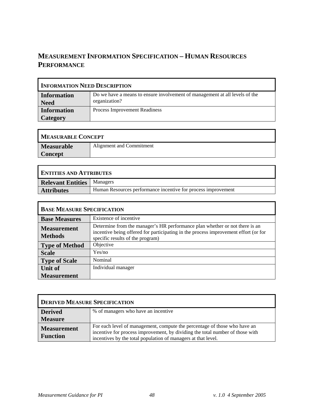# **MEASUREMENT INFORMATION SPECIFICATION – HUMAN RESOURCES PERFORMANCE**

| <b>INFORMATION NEED DESCRIPTION</b> |                                                                                              |  |
|-------------------------------------|----------------------------------------------------------------------------------------------|--|
| <b>Information</b><br><b>Need</b>   | Do we have a means to ensure involvement of management at all levels of the<br>organization? |  |
| <b>Information</b><br>Category      | Process Improvement Readiness                                                                |  |

| <b>MEASURABLE CONCEPT</b> |                          |  |
|---------------------------|--------------------------|--|
| <b>Measurable</b>         | Alignment and Commitment |  |
| Concept                   |                          |  |

| <b>ENTITIES AND ATTRIBUTES</b>      |                                                               |  |
|-------------------------------------|---------------------------------------------------------------|--|
| <b>Relevant Entities</b>   Managers |                                                               |  |
| <b>Attributes</b>                   | Human Resources performance incentive for process improvement |  |

| <b>BASE MEASURE SPECIFICATION</b>    |                                                                                                                                                                                                        |  |
|--------------------------------------|--------------------------------------------------------------------------------------------------------------------------------------------------------------------------------------------------------|--|
| <b>Base Measures</b>                 | Existence of incentive                                                                                                                                                                                 |  |
| <b>Measurement</b><br><b>Methods</b> | Determine from the manager's HR performance plan whether or not there is an<br>incentive being offered for participating in the process improvement effort (or for<br>specific results of the program) |  |
| <b>Type of Method</b>                | Objective                                                                                                                                                                                              |  |
| <b>Scale</b>                         | Yes/no                                                                                                                                                                                                 |  |
| <b>Type of Scale</b>                 | Nominal                                                                                                                                                                                                |  |
| Unit of                              | Individual manager                                                                                                                                                                                     |  |
| <b>Measurement</b>                   |                                                                                                                                                                                                        |  |

| <b>DERIVED MEASURE SPECIFICATION</b>  |                                                                                                                                                                                                                             |  |
|---------------------------------------|-----------------------------------------------------------------------------------------------------------------------------------------------------------------------------------------------------------------------------|--|
| <b>Derived</b>                        | % of managers who have an incentive                                                                                                                                                                                         |  |
| <b>Measure</b>                        |                                                                                                                                                                                                                             |  |
| <b>Measurement</b><br><b>Function</b> | For each level of management, compute the percentage of those who have an<br>incentive for process improvement, by dividing the total number of those with<br>incentives by the total population of managers at that level. |  |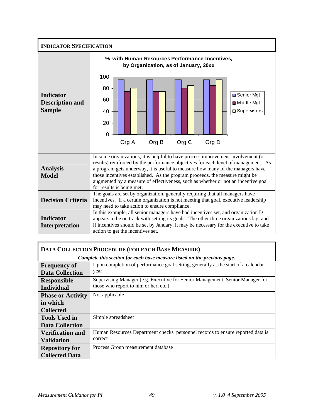| <b>INDICATOR SPECIFICATION</b>                              |                                                                                                                                                                                                                                                                                                                                                                                                                                                           |  |  |  |
|-------------------------------------------------------------|-----------------------------------------------------------------------------------------------------------------------------------------------------------------------------------------------------------------------------------------------------------------------------------------------------------------------------------------------------------------------------------------------------------------------------------------------------------|--|--|--|
| <b>Indicator</b><br><b>Description and</b><br><b>Sample</b> | % with Human Resources Performance Incentives,<br>by Organization, as of January, 20xx<br>100<br>80<br><b>□ Senior Mgt</b><br>60<br>■ Middle Mgt<br>□ Supervisors<br>40<br>20<br>$\Omega$<br>Org B<br>Org C<br>Org D<br>Org A                                                                                                                                                                                                                             |  |  |  |
| <b>Analysis</b><br><b>Model</b>                             | In some organizations, it is helpful to have process improvement involvement (or<br>results) reinforced by the performance objectives for each level of management. As<br>a program gets underway, it is useful to measure how many of the managers have<br>those incentives established. As the program proceeds, the measure might be<br>augmented by a measure of effectiveness, such as whether or not an incentive goal<br>for results is being met. |  |  |  |
| <b>Decision Criteria</b>                                    | The goals are set by organization, generally requiring that all managers have<br>incentives. If a certain organization is not meeting that goal, executive leadership<br>may need to take action to ensure compliance.                                                                                                                                                                                                                                    |  |  |  |
| <b>Indicator</b><br>Interpretation                          | In this example, all senior managers have had incentives set, and organization D<br>appears to be on track with setting its goals. The other three organizations lag, and<br>if incentives should be set by January, it may be necessary for the executive to take<br>action to get the incentives set.                                                                                                                                                   |  |  |  |

| DATA COLLECTION PROCEDURE (FOR EACH BASE MEASURE) |                                                                                   |  |  |
|---------------------------------------------------|-----------------------------------------------------------------------------------|--|--|
|                                                   | Complete this section for each base measure listed on the previous page.          |  |  |
| <b>Frequency of</b>                               | Upon completion of performance goal setting, generally at the start of a calendar |  |  |
| <b>Data Collection</b>                            | year                                                                              |  |  |
| <b>Responsible</b>                                | Supervising Manager [e.g. Executive for Senior Management, Senior Manager for     |  |  |
| <b>Individual</b>                                 | those who report to him or her, etc.]                                             |  |  |
| <b>Phase or Activity</b>                          | Not applicable                                                                    |  |  |
| in which                                          |                                                                                   |  |  |
| <b>Collected</b>                                  |                                                                                   |  |  |
| <b>Tools Used in</b>                              | Simple spreadsheet                                                                |  |  |
| <b>Data Collection</b>                            |                                                                                   |  |  |
| <b>Verification and</b>                           | Human Resources Department checks personnel records to ensure reported data is    |  |  |
| <b>Validation</b>                                 | correct                                                                           |  |  |
| <b>Repository for</b>                             | Process Group measurement database                                                |  |  |
| <b>Collected Data</b>                             |                                                                                   |  |  |

Г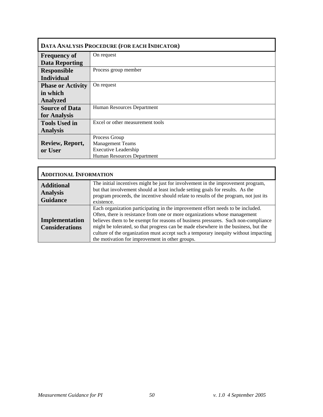| DATA ANALYSIS PROCEDURE (FOR EACH INDICATOR) |                                  |  |
|----------------------------------------------|----------------------------------|--|
| <b>Frequency of</b>                          | On request                       |  |
| <b>Data Reporting</b>                        |                                  |  |
| <b>Responsible</b>                           | Process group member             |  |
| <b>Individual</b>                            |                                  |  |
| <b>Phase or Activity</b>                     | On request                       |  |
| in which                                     |                                  |  |
| <b>Analyzed</b>                              |                                  |  |
| <b>Source of Data</b>                        | Human Resources Department       |  |
| for Analysis                                 |                                  |  |
| <b>Tools Used in</b>                         | Excel or other measurement tools |  |
| <b>Analysis</b>                              |                                  |  |
|                                              | Process Group                    |  |
| Review, Report,                              | <b>Management Teams</b>          |  |
| or User                                      | <b>Executive Leadership</b>      |  |
|                                              | Human Resources Department       |  |

| <b>ADDITIONAL INFORMATION</b>                           |                                                                                                                                                                                                                                                                                                                                                                                                                                                                                     |
|---------------------------------------------------------|-------------------------------------------------------------------------------------------------------------------------------------------------------------------------------------------------------------------------------------------------------------------------------------------------------------------------------------------------------------------------------------------------------------------------------------------------------------------------------------|
| <b>Additional</b><br><b>Analysis</b><br><b>Guidance</b> | The initial incentives might be just for involvement in the improvement program,<br>but that involvement should at least include setting goals for results. As the<br>program proceeds, the incentive should relate to results of the program, not just its<br>existence.                                                                                                                                                                                                           |
| Implementation<br><b>Considerations</b>                 | Each organization participating in the improvement effort needs to be included.<br>Often, there is resistance from one or more organizations whose management<br>believes them to be exempt for reasons of business pressures. Such non-compliance<br>might be tolerated, so that progress can be made elsewhere in the business, but the<br>culture of the organization must accept such a temporary inequity without impacting<br>the motivation for improvement in other groups. |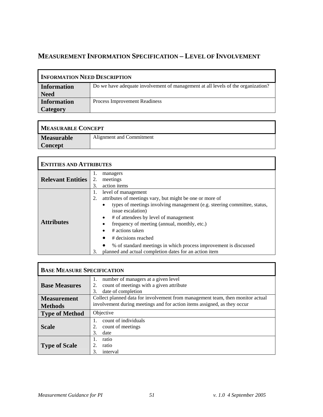# **MEASUREMENT INFORMATION SPECIFICATION – LEVEL OF INVOLVEMENT**

| <b>INFORMATION NEED DESCRIPTION</b> |                                                                                  |
|-------------------------------------|----------------------------------------------------------------------------------|
| <b>Information</b>                  | Do we have adequate involvement of management at all levels of the organization? |
| <b>Need</b>                         |                                                                                  |
| <b>Information</b>                  | Process Improvement Readiness                                                    |
| Category                            |                                                                                  |

| <b>MEASURABLE CONCEPT</b> |                          |
|---------------------------|--------------------------|
| Measurable                | Alignment and Commitment |
| <b>Concept</b>            |                          |

| <b>ENTITIES AND ATTRIBUTES</b> |                                                                                                                                                                                                                                                                                                                                                                                                                                                                                  |
|--------------------------------|----------------------------------------------------------------------------------------------------------------------------------------------------------------------------------------------------------------------------------------------------------------------------------------------------------------------------------------------------------------------------------------------------------------------------------------------------------------------------------|
| <b>Relevant Entities</b>       | 1.<br>managers<br>2.<br>meetings<br>action items<br>3.                                                                                                                                                                                                                                                                                                                                                                                                                           |
| <b>Attributes</b>              | level of management<br>1.<br>attributes of meetings vary, but might be one or more of<br>2.<br>types of meetings involving management (e.g. steering committee, status,<br>issue escalation)<br># of attendees by level of management<br>frequency of meeting (annual, monthly, etc.)<br># actions taken<br># decisions reached<br>$\bullet$<br>% of standard meetings in which process improvement is discussed<br>planned and actual completion dates for an action item<br>3. |

| <b>BASE MEASURE SPECIFICATION</b> |                                                                                                                         |
|-----------------------------------|-------------------------------------------------------------------------------------------------------------------------|
| <b>Base Measures</b>              | number of managers at a given level<br>1.<br>count of meetings with a given attribute<br>2.<br>date of completion<br>3. |
| <b>Measurement</b>                | Collect planned data for involvement from management team, then monitor actual                                          |
| <b>Methods</b>                    | involvement during meetings and for action items assigned, as they occur                                                |
| <b>Type of Method</b>             | Objective                                                                                                               |
| <b>Scale</b>                      | count of individuals<br>1.<br>2.<br>count of meetings<br>date<br>3.                                                     |
| <b>Type of Scale</b>              | ratio<br>1.<br>ratio<br>3.<br>interval                                                                                  |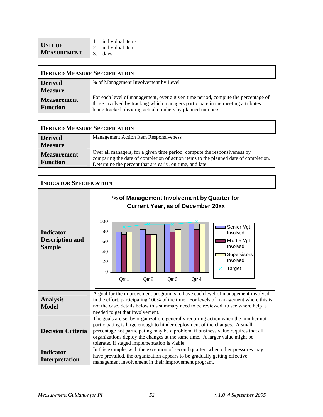|                               |    | individual items |
|-------------------------------|----|------------------|
| UNIT OF<br><b>MEASUREMENT</b> |    | individual items |
|                               | J. | davs             |

| <b>DERIVED MEASURE SPECIFICATION</b>  |                                                                                                                                                                                                                                    |
|---------------------------------------|------------------------------------------------------------------------------------------------------------------------------------------------------------------------------------------------------------------------------------|
| <b>Derived</b>                        | % of Management Involvement by Level                                                                                                                                                                                               |
| <b>Measure</b>                        |                                                                                                                                                                                                                                    |
| <b>Measurement</b><br><b>Function</b> | For each level of management, over a given time period, compute the percentage of<br>those involved by tracking which managers participate in the meeting attributes<br>being tracked, dividing actual numbers by planned numbers. |

| <b>DERIVED MEASURE SPECIFICATION</b>  |                                                                                                                                                                                                                             |
|---------------------------------------|-----------------------------------------------------------------------------------------------------------------------------------------------------------------------------------------------------------------------------|
| <b>Derived</b>                        | <b>Management Action Item Responsiveness</b>                                                                                                                                                                                |
| <b>Measure</b>                        |                                                                                                                                                                                                                             |
| <b>Measurement</b><br><b>Function</b> | Over all managers, for a given time period, compute the responsiveness by<br>comparing the date of completion of action items to the planned date of completion.<br>Determine the percent that are early, on time, and late |

| <b>INDICATOR SPECIFICATION</b>                              |                                                                                                                                                                                                                                                                                                                                                                                      |
|-------------------------------------------------------------|--------------------------------------------------------------------------------------------------------------------------------------------------------------------------------------------------------------------------------------------------------------------------------------------------------------------------------------------------------------------------------------|
| <b>Indicator</b><br><b>Description and</b><br><b>Sample</b> | % of Management Involvement by Quarter for<br><b>Current Year, as of December 20xx</b><br>100<br>Senior Mgt<br>80<br>Involved<br>Middle Mgt<br>60<br>Involved<br>40<br>Supervisors<br>Involved<br>20<br>Target<br>$\Omega$<br>Otr 1<br>Otr <sub>2</sub><br>Qtr <sub>3</sub><br>Otr <sub>4</sub>                                                                                      |
| <b>Analysis</b><br><b>Model</b>                             | A goal for the improvement program is to have each level of management involved<br>in the effort, participating 100% of the time. For levels of management where this is<br>not the case, details below this summary need to be reviewed, to see where help is<br>needed to get that involvement.                                                                                    |
| <b>Decision Criteria</b>                                    | The goals are set by organization, generally requiring action when the number not<br>participating is large enough to hinder deployment of the changes. A small<br>percentage not participating may be a problem, if business value requires that all<br>organizations deploy the changes at the same time. A larger value might be<br>tolerated if staged implementation is viable. |
| <b>Indicator</b><br><b>Interpretation</b>                   | In this example, with the exception of second quarter, when other pressures may<br>have prevailed, the organization appears to be gradually getting effective<br>management involvement in their improvement program.                                                                                                                                                                |

F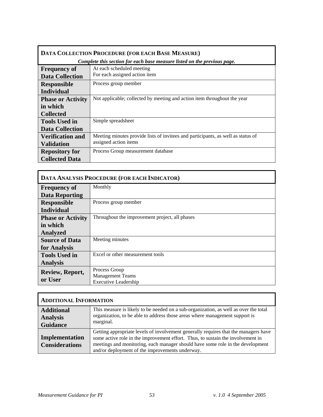| DATA COLLECTION PROCEDURE (FOR EACH BASE MEASURE) |                                                                                  |
|---------------------------------------------------|----------------------------------------------------------------------------------|
|                                                   | Complete this section for each base measure listed on the previous page.         |
| <b>Frequency of</b>                               | At each scheduled meeting                                                        |
| <b>Data Collection</b>                            | For each assigned action item                                                    |
| <b>Responsible</b>                                | Process group member                                                             |
| <b>Individual</b>                                 |                                                                                  |
| <b>Phase or Activity</b>                          | Not applicable; collected by meeting and action item throughout the year         |
| in which                                          |                                                                                  |
| <b>Collected</b>                                  |                                                                                  |
| <b>Tools Used in</b>                              | Simple spreadsheet                                                               |
| <b>Data Collection</b>                            |                                                                                  |
| <b>Verification and</b>                           | Meeting minutes provide lists of invitees and participants, as well as status of |
| <b>Validation</b>                                 | assigned action items                                                            |
| <b>Repository for</b>                             | Process Group measurement database                                               |
| <b>Collected Data</b>                             |                                                                                  |

| DATA ANALYSIS PROCEDURE (FOR EACH INDICATOR) |                                                |
|----------------------------------------------|------------------------------------------------|
| <b>Frequency of</b>                          | Monthly                                        |
| <b>Data Reporting</b>                        |                                                |
| <b>Responsible</b>                           | Process group member                           |
| <b>Individual</b>                            |                                                |
| <b>Phase or Activity</b>                     | Throughout the improvement project, all phases |
| in which                                     |                                                |
| <b>Analyzed</b>                              |                                                |
| <b>Source of Data</b>                        | Meeting minutes                                |
| for Analysis                                 |                                                |
| <b>Tools Used in</b>                         | Excel or other measurement tools               |
| <b>Analysis</b>                              |                                                |
| Review, Report,                              | Process Group                                  |
| or User                                      | <b>Management Teams</b>                        |
|                                              | <b>Executive Leadership</b>                    |

| <b>ADDITIONAL INFORMATION</b>           |                                                                                                                                                                                                                                                                                                             |
|-----------------------------------------|-------------------------------------------------------------------------------------------------------------------------------------------------------------------------------------------------------------------------------------------------------------------------------------------------------------|
| <b>Additional</b><br><b>Analysis</b>    | This measure is likely to be needed on a sub-organization, as well as over the total<br>organization, to be able to address those areas where management support is<br>marginal.                                                                                                                            |
| <b>Guidance</b>                         |                                                                                                                                                                                                                                                                                                             |
| Implementation<br><b>Considerations</b> | Getting appropriate levels of involvement generally requires that the managers have<br>some active role in the improvement effort. Thus, to sustain the involvement in<br>meetings and monitoring, each manager should have some role in the development<br>and/or deployment of the improvements underway. |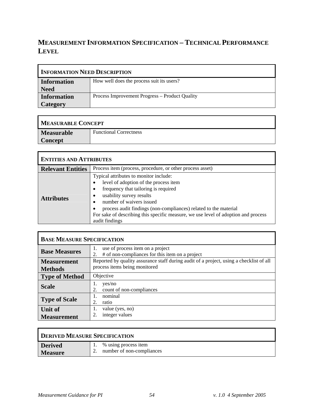# **MEASUREMENT INFORMATION SPECIFICATION – TECHNICAL PERFORMANCE LEVEL**

| <b>INFORMATION NEED DESCRIPTION</b>   |                                                |
|---------------------------------------|------------------------------------------------|
| Information<br><b>Need</b>            | How well does the process suit its users?      |
| <b>Information</b><br><b>Category</b> | Process Improvement Progress – Product Quality |

| <b>MEASURABLE CONCEPT</b> |                               |
|---------------------------|-------------------------------|
| <b>Measurable</b>         | <b>Functional Correctness</b> |
| <b>Concept</b>            |                               |

| <b>ENTITIES AND ATTRIBUTES</b> |                                                                                                                                                                                                                                                                                                                                                             |  |  |
|--------------------------------|-------------------------------------------------------------------------------------------------------------------------------------------------------------------------------------------------------------------------------------------------------------------------------------------------------------------------------------------------------------|--|--|
| <b>Relevant Entities</b>       | Process item (process, procedure, or other process asset)                                                                                                                                                                                                                                                                                                   |  |  |
| <b>Attributes</b>              | Typical attributes to monitor include:<br>level of adoption of the process item<br>frequency that tailoring is required<br>usability survey results<br>number of waivers issued<br>process audit findings (non-compliances) related to the material<br>For sake of describing this specific measure, we use level of adoption and process<br>audit findings |  |  |

| <b>BASE MEASURE SPECIFICATION</b> |                                                                                                 |
|-----------------------------------|-------------------------------------------------------------------------------------------------|
| <b>Base Measures</b>              | use of process item on a project<br>1.<br># of non-compliances for this item on a project<br>2. |
| <b>Measurement</b>                | Reported by quality assurance staff during audit of a project, using a checklist of all         |
| <b>Methods</b>                    | process items being monitored                                                                   |
| <b>Type of Method</b>             | Objective                                                                                       |
| <b>Scale</b>                      | ves/no<br>count of non-compliances<br>2.                                                        |
| <b>Type of Scale</b>              | nominal<br>1.                                                                                   |
|                                   | 2.<br>ratio                                                                                     |
| Unit of                           | value (yes, no)<br>1.                                                                           |
| <b>Measurement</b>                | integer values<br>2.                                                                            |

| <b>DERIVED MEASURE SPECIFICATION</b> |                           |
|--------------------------------------|---------------------------|
| <b>Derived</b>                       | % using process item      |
| <b>Measure</b>                       | number of non-compliances |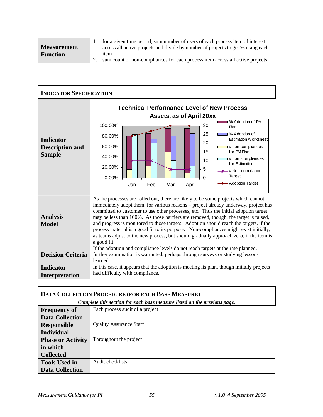|                    | for a given time period, sum number of users of each process item of interest   |
|--------------------|---------------------------------------------------------------------------------|
| <b>Measurement</b> | across all active projects and divide by number of projects to get % using each |
| <b>Function</b>    | <sub>1</sub> tem                                                                |
|                    | sum count of non-compliances for each process item across all active projects   |

| <b>INDICATOR SPECIFICATION</b>                              |                                                                                                                                                                                                                                                                                                                                                                                                                                                                                                                                                                                                                                                    |
|-------------------------------------------------------------|----------------------------------------------------------------------------------------------------------------------------------------------------------------------------------------------------------------------------------------------------------------------------------------------------------------------------------------------------------------------------------------------------------------------------------------------------------------------------------------------------------------------------------------------------------------------------------------------------------------------------------------------------|
| <b>Indicator</b><br><b>Description and</b><br><b>Sample</b> | <b>Technical Performance Level of New Process</b><br>Assets, as of April 20xx<br>% Adoption of PM<br>100.00%<br>30<br>Plan<br>25<br>% Adoption of<br>80.00%<br>Estimation w orksheet<br>20<br>60.00%<br>hon-compliances<br>15<br>for PM Plan<br>40.00%<br>non=compliances ±<br>10<br>for Estimation<br>20.00%<br>5<br><b>**</b> # Non-compliance<br>Target<br>0.00%<br>0<br>- Adoption Target<br>Feb<br>Mar<br>Jan<br>Apr                                                                                                                                                                                                                          |
| <b>Analysis</b><br><b>Model</b>                             | As the processes are rolled out, there are likely to be some projects which cannot<br>immediately adopt them, for various reasons - project already underway, project has<br>committed to customer to use other processes, etc. Thus the initial adoption target<br>may be less than 100%. As those barriers are removed, though, the target is raised,<br>and progress is monitored to those targets. Adoption should reach the targets, if the<br>process material is a good fit to its purpose. Non-compliances might exist initially,<br>as teams adjust to the new process, but should gradually approach zero, if the item is<br>a good fit. |
| <b>Decision Criteria</b>                                    | If the adoption and compliance levels do not reach targets at the rate planned,<br>further examination is warranted, perhaps through surveys or studying lessons<br>learned.                                                                                                                                                                                                                                                                                                                                                                                                                                                                       |
| <b>Indicator</b><br>Interpretation                          | In this case, it appears that the adoption is meeting its plan, though initially projects<br>had difficulty with compliance.                                                                                                                                                                                                                                                                                                                                                                                                                                                                                                                       |

| DATA COLLECTION PROCEDURE (FOR EACH BASE MEASURE) |                                                                          |
|---------------------------------------------------|--------------------------------------------------------------------------|
|                                                   | Complete this section for each base measure listed on the previous page. |
| <b>Frequency of</b>                               | Each process audit of a project                                          |
| <b>Data Collection</b>                            |                                                                          |
| <b>Responsible</b>                                | <b>Quality Assurance Staff</b>                                           |
| <b>Individual</b>                                 |                                                                          |
| <b>Phase or Activity</b>                          | Throughout the project                                                   |
| in which                                          |                                                                          |
| <b>Collected</b>                                  |                                                                          |
| <b>Tools Used in</b>                              | Audit checklists                                                         |
| <b>Data Collection</b>                            |                                                                          |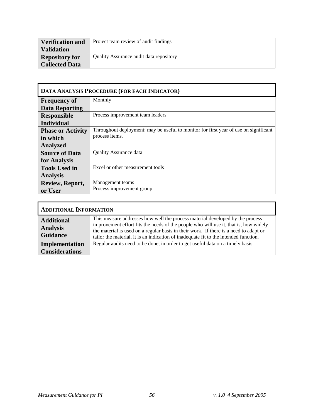| <b>Verification and</b> | Project team review of audit findings   |
|-------------------------|-----------------------------------------|
| <b>Validation</b>       |                                         |
| <b>Repository for</b>   | Quality Assurance audit data repository |
| <b>Collected Data</b>   |                                         |

| <b>DATA ANALYSIS PROCEDURE (FOR EACH INDICATOR)</b> |                                                                                      |  |
|-----------------------------------------------------|--------------------------------------------------------------------------------------|--|
| <b>Frequency of</b>                                 | Monthly                                                                              |  |
| <b>Data Reporting</b>                               |                                                                                      |  |
| <b>Responsible</b>                                  | Process improvement team leaders                                                     |  |
| <b>Individual</b>                                   |                                                                                      |  |
| <b>Phase or Activity</b>                            | Throughout deployment; may be useful to monitor for first year of use on significant |  |
| in which                                            | process items.                                                                       |  |
| <b>Analyzed</b>                                     |                                                                                      |  |
| <b>Source of Data</b>                               | <b>Quality Assurance data</b>                                                        |  |
| for Analysis                                        |                                                                                      |  |
| <b>Tools Used in</b>                                | Excel or other measurement tools                                                     |  |
| <b>Analysis</b>                                     |                                                                                      |  |
| Review, Report,                                     | Management teams                                                                     |  |
| or User                                             | Process improvement group                                                            |  |

| <b>ADDITIONAL INFORMATION</b>                           |                                                                                                                                                                                                                                                                                                                                                        |
|---------------------------------------------------------|--------------------------------------------------------------------------------------------------------------------------------------------------------------------------------------------------------------------------------------------------------------------------------------------------------------------------------------------------------|
| <b>Additional</b><br><b>Analysis</b><br><b>Guidance</b> | This measure addresses how well the process material developed by the process<br>improvement effort fits the needs of the people who will use it, that is, how widely<br>the material is used on a regular basis in their work. If there is a need to adapt or<br>tailor the material, it is an indication of inadequate fit to the intended function. |
| Implementation<br><b>Considerations</b>                 | Regular audits need to be done, in order to get useful data on a timely basis                                                                                                                                                                                                                                                                          |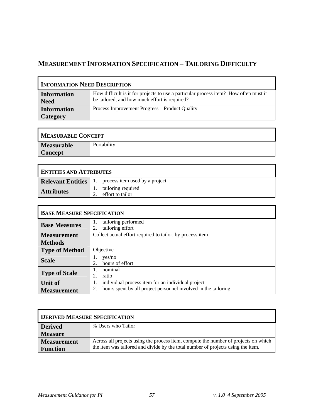# **MEASUREMENT INFORMATION SPECIFICATION – TAILORING DIFFICULTY**

| <b>INFORMATION NEED DESCRIPTION</b> |                                                                                                                                       |
|-------------------------------------|---------------------------------------------------------------------------------------------------------------------------------------|
| <b>Information</b><br><b>Need</b>   | How difficult is it for projects to use a particular process item? How often must it<br>be tailored, and how much effort is required? |
| <b>Information</b><br>Category      | Process Improvement Progress – Product Quality                                                                                        |

| <b>MEASURABLE CONCEPT</b> |             |  |
|---------------------------|-------------|--|
| <b>Measurable</b>         | Portability |  |
| <b>Concept</b>            |             |  |

<u> 1989 - Johann Barn, amerikansk politiker (d. 1989)</u>

| <b>ENTITIES AND ATTRIBUTES</b> |  |                                                              |
|--------------------------------|--|--------------------------------------------------------------|
|                                |  | <b>Relevant Entities</b>   1. process item used by a project |
| Attributes                     |  | tailoring required<br>effort to tailor                       |

| <b>BASE MEASURE SPECIFICATION</b> |                                                                      |
|-----------------------------------|----------------------------------------------------------------------|
| <b>Base Measures</b>              | tailoring performed<br>1.<br>tailoring effort<br>2.                  |
| <b>Measurement</b>                | Collect actual effort required to tailor, by process item            |
| <b>Methods</b>                    |                                                                      |
| <b>Type of Method</b>             | Objective                                                            |
| <b>Scale</b>                      | ves/no<br>hours of effort<br>2.                                      |
| <b>Type of Scale</b>              | nominal<br>Ι.                                                        |
|                                   | 2.<br>ratio                                                          |
| <b>Unit of</b>                    | individual process item for an individual project<br>1.              |
| <b>Measurement</b>                | hours spent by all project personnel involved in the tailoring<br>2. |

| <b>DERIVED MEASURE SPECIFICATION</b> |                                                                                     |
|--------------------------------------|-------------------------------------------------------------------------------------|
| <b>Derived</b>                       | % Users who Tailor                                                                  |
| <b>Measure</b>                       |                                                                                     |
| <b>Measurement</b>                   | Across all projects using the process item, compute the number of projects on which |
| <b>Function</b>                      | the item was tailored and divide by the total number of projects using the item.    |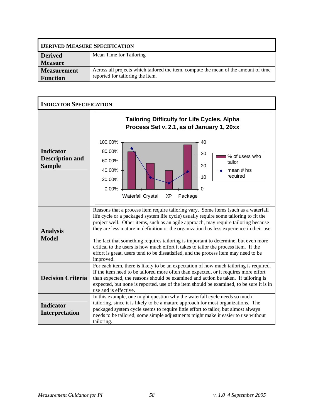| <b>DERIVED MEASURE SPECIFICATION</b> |                                                                                     |
|--------------------------------------|-------------------------------------------------------------------------------------|
| <b>Derived</b>                       | Mean Time for Tailoring                                                             |
| <b>Measure</b>                       |                                                                                     |
| <b>Measurement</b>                   | Across all projects which tailored the item, compute the mean of the amount of time |
| <b>Function</b>                      | reported for tailoring the item.                                                    |

| <b>INDICATOR SPECIFICATION</b>                              |                                                                                                                                                                                                                                                                                                                                                                                                                                                                                                                                                                                                                                                    |
|-------------------------------------------------------------|----------------------------------------------------------------------------------------------------------------------------------------------------------------------------------------------------------------------------------------------------------------------------------------------------------------------------------------------------------------------------------------------------------------------------------------------------------------------------------------------------------------------------------------------------------------------------------------------------------------------------------------------------|
| <b>Indicator</b><br><b>Description and</b><br><b>Sample</b> | <b>Tailoring Difficulty for Life Cycles, Alpha</b><br>Process Set v. 2.1, as of January 1, 20xx<br>100.00%<br>40<br>80.00%<br>30<br>% of users who<br>60.00%<br>tailor<br>20<br>40.00%<br>mean # hrs<br>required<br>10<br>20.00%<br>0.00%<br>0<br><b>Waterfall Crystal</b><br>ΧP<br>Package                                                                                                                                                                                                                                                                                                                                                        |
| <b>Analysis</b><br><b>Model</b>                             | Reasons that a process item require tailoring vary. Some items (such as a waterfall<br>life cycle or a packaged system life cycle) usually require some tailoring to fit the<br>project well. Other items, such as an agile approach, may require tailoring because<br>they are less mature in definition or the organization has less experience in their use.<br>The fact that something requires tailoring is important to determine, but even more<br>critical to the users is how much effort it takes to tailor the process item. If the<br>effort is great, users tend to be dissatisfied, and the process item may need to be<br>improved. |
| <b>Decision Criteria</b>                                    | For each item, there is likely to be an expectation of how much tailoring is required.<br>If the item need to be tailored more often than expected, or it requires more effort<br>than expected, the reasons should be examined and action be taken. If tailoring is<br>expected, but none is reported, use of the item should be examined, to be sure it is in<br>use and is effective.                                                                                                                                                                                                                                                           |
| <b>Indicator</b><br>Interpretation                          | In this example, one might question why the waterfall cycle needs so much<br>tailoring, since it is likely to be a mature approach for most organizations. The<br>packaged system cycle seems to require little effort to tailor, but almost always<br>needs to be tailored; some simple adjustments might make it easier to use without<br>tailoring.                                                                                                                                                                                                                                                                                             |